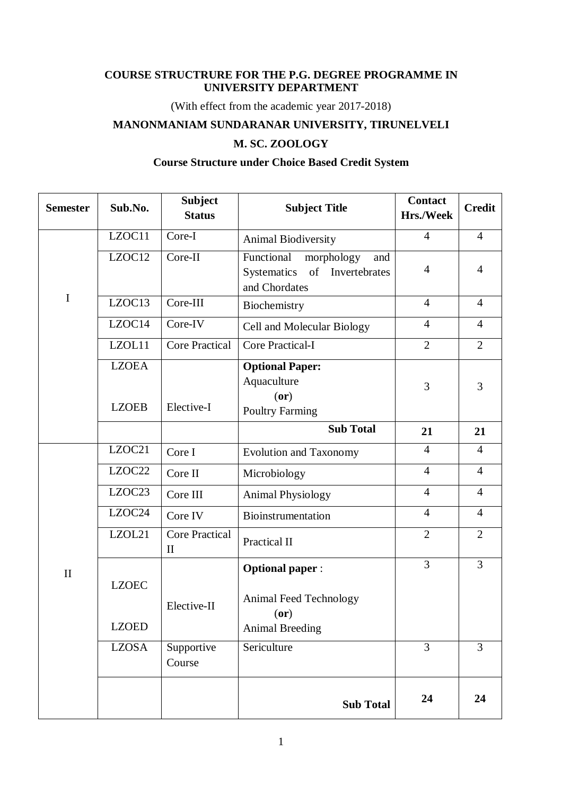## **COURSE STRUCTRURE FOR THE P.G. DEGREE PROGRAMME IN UNIVERSITY DEPARTMENT**

(With effect from the academic year 2017-2018)

## **MANONMANIAM SUNDARANAR UNIVERSITY, TIRUNELVELI**

# **M. SC. ZOOLOGY**

# **Course Structure under Choice Based Credit System**

| <b>Semester</b> | Sub.No.                      | <b>Subject</b><br><b>Status</b>       | <b>Subject Title</b>                                                                     | <b>Contact</b><br>Hrs./Week | <b>Credit</b>  |
|-----------------|------------------------------|---------------------------------------|------------------------------------------------------------------------------------------|-----------------------------|----------------|
|                 | LZOC11                       | Core-I                                | Animal Biodiversity                                                                      | $\overline{4}$              | $\overline{4}$ |
|                 | LZOC12                       | Core-II                               | morphology<br>Functional<br>and<br>of<br>Systematics<br>Invertebrates<br>and Chordates   | $\overline{4}$              | 4              |
| $\mathbf I$     | LZOC13                       | Core-III                              | Biochemistry                                                                             | $\overline{4}$              | $\overline{4}$ |
|                 | LZOC14                       | Core-IV                               | Cell and Molecular Biology                                                               | $\overline{4}$              | $\overline{4}$ |
|                 | LZOL11                       | <b>Core Practical</b>                 | Core Practical-I                                                                         | $\overline{2}$              | $\overline{2}$ |
|                 | <b>LZOEA</b><br><b>LZOEB</b> | Elective-I                            | <b>Optional Paper:</b><br>Aquaculture<br>(or)<br><b>Poultry Farming</b>                  | 3                           | 3              |
|                 |                              |                                       | <b>Sub Total</b>                                                                         | 21                          | 21             |
|                 | LZOC21                       | Core I                                | <b>Evolution and Taxonomy</b>                                                            | $\overline{4}$              | $\overline{4}$ |
|                 | LZOC22                       | Core II                               | Microbiology                                                                             | $\overline{4}$              | $\overline{4}$ |
|                 | LZOC23                       | Core III                              | <b>Animal Physiology</b>                                                                 | $\overline{4}$              | $\overline{4}$ |
|                 | LZOC24                       | Core IV                               | Bioinstrumentation                                                                       | $\overline{4}$              | $\overline{4}$ |
|                 | LZOL21                       | <b>Core Practical</b><br>$\mathbf{I}$ | Practical II                                                                             | $\overline{2}$              | $\overline{2}$ |
| $\mathbf{I}$    | <b>LZOEC</b><br><b>LZOED</b> | Elective-II                           | <b>Optional paper:</b><br>Animal Feed Technology<br>$($ or $)$<br><b>Animal Breeding</b> | $\overline{3}$              | $\overline{3}$ |
|                 | <b>LZOSA</b>                 | Supportive<br>Course                  | Sericulture                                                                              | $\overline{3}$              | $\overline{3}$ |
|                 |                              |                                       | <b>Sub Total</b>                                                                         | 24                          | 24             |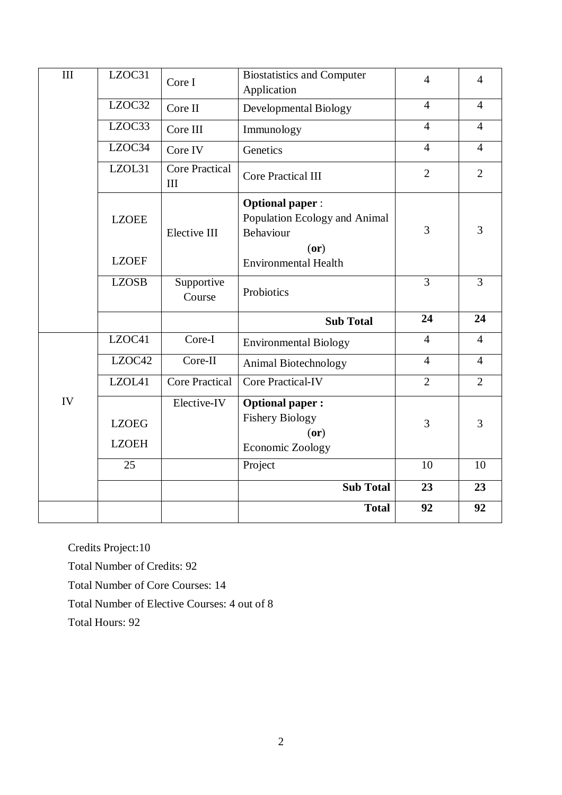| III | LZOC31                       | Core I                       | <b>Biostatistics and Computer</b><br>Application                             | $\overline{4}$ | $\overline{4}$ |
|-----|------------------------------|------------------------------|------------------------------------------------------------------------------|----------------|----------------|
|     | LZOC32                       | Core II                      | Developmental Biology                                                        | $\overline{4}$ | $\overline{4}$ |
|     | LZOC33                       | Core III                     | Immunology                                                                   | $\overline{4}$ | $\overline{4}$ |
|     | LZOC34                       | Core IV                      | Genetics                                                                     | $\overline{4}$ | $\overline{4}$ |
|     | LZOL31                       | <b>Core Practical</b><br>III | <b>Core Practical III</b>                                                    | $\overline{2}$ | $\overline{2}$ |
|     | <b>LZOEE</b>                 | Elective III                 | <b>Optional paper:</b><br>Population Ecology and Animal<br>Behaviour<br>(or) | 3              | 3              |
|     | <b>LZOEF</b>                 |                              | <b>Environmental Health</b>                                                  |                |                |
|     | <b>LZOSB</b>                 | Supportive<br>Course         | Probiotics                                                                   | $\overline{3}$ | 3              |
|     |                              |                              | <b>Sub Total</b>                                                             | 24             | 24             |
|     | LZOC41                       | Core-I                       | <b>Environmental Biology</b>                                                 | $\overline{4}$ | $\overline{4}$ |
|     | LZOC42                       | Core-II                      | Animal Biotechnology                                                         | $\overline{4}$ | $\overline{4}$ |
|     | LZOL41                       | <b>Core Practical</b>        |                                                                              |                | $\overline{2}$ |
|     |                              |                              | <b>Core Practical-IV</b>                                                     | $\overline{2}$ |                |
| IV  | <b>LZOEG</b><br><b>LZOEH</b> | Elective-IV                  | <b>Optional paper:</b><br><b>Fishery Biology</b><br>(0r)<br>Economic Zoology | 3              | 3              |
|     | 25                           |                              | Project                                                                      | 10             | 10             |
|     |                              |                              | <b>Sub Total</b>                                                             | 23             | 23             |

Credits Project:10

Total Number of Credits: 92

Total Number of Core Courses: 14

Total Number of Elective Courses: 4 out of 8

Total Hours: 92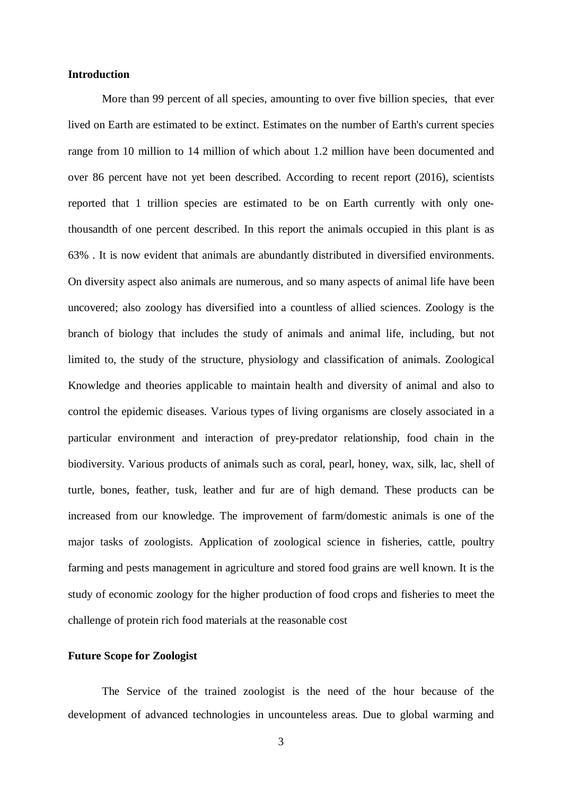#### **Introduction**

More than 99 percent of all species, amounting to over five billion species, that ever lived on Earth are estimated to be extinct. Estimates on the number of Earth's current species range from 10 million to 14 million of which about 1.2 million have been documented and over 86 percent have not yet been described. According to recent report (2016), scientists reported that 1 trillion species are estimated to be on Earth currently with only onethousandth of one percent described. In this report the animals occupied in this plant is as 63% . It is now evident that animals are abundantly distributed in diversified environments. On diversity aspect also animals are numerous, and so many aspects of animal life have been uncovered; also zoology has diversified into a countless of allied sciences. Zoology is the branch of biology that includes the study of animals and animal life, including, but not limited to, the study of the structure, physiology and classification of animals. Zoological Knowledge and theories applicable to maintain health and diversity of animal and also to control the epidemic diseases. Various types of living organisms are closely associated in a particular environment and interaction of prey-predator relationship, food chain in the biodiversity. Various products of animals such as coral, pearl, honey, wax, silk, lac, shell of turtle, bones, feather, tusk, leather and fur are of high demand. These products can be increased from our knowledge. The improvement of farm/domestic animals is one of the major tasks of zoologists. Application of zoological science in fisheries, cattle, poultry farming and pests management in agriculture and stored food grains are well known. It is the study of economic zoology for the higher production of food crops and fisheries to meet the challenge of protein rich food materials at the reasonable cost

## **Future Scope for Zoologist**

The Service of the trained zoologist is the need of the hour because of the development of advanced technologies in uncounteless areas. Due to global warming and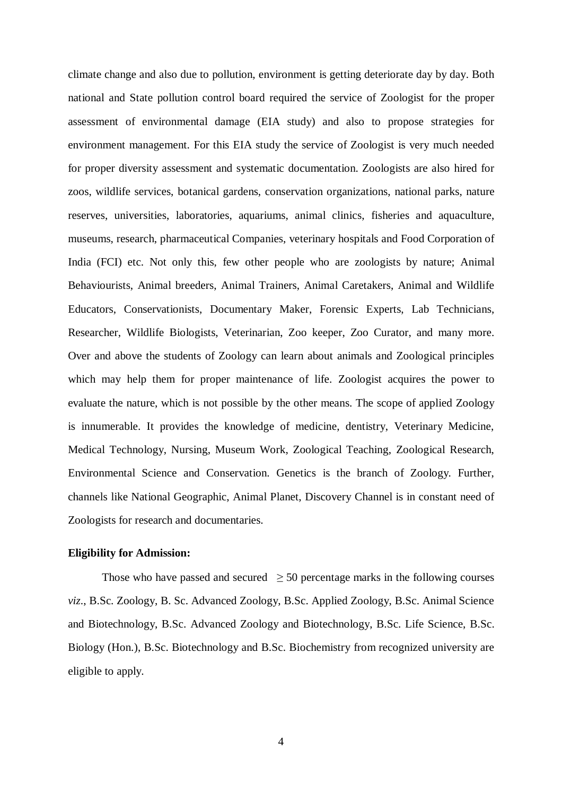climate change and also due to pollution, environment is getting deteriorate day by day. Both national and State pollution control board required the service of Zoologist for the proper assessment of environmental damage (EIA study) and also to propose strategies for environment management. For this EIA study the service of Zoologist is very much needed for proper diversity assessment and systematic documentation. Zoologists are also hired for zoos, wildlife services, botanical gardens, conservation organizations, national parks, nature reserves, universities, laboratories, aquariums, animal clinics, fisheries and aquaculture, museums, research, pharmaceutical Companies, veterinary hospitals and Food Corporation of India (FCI) etc. Not only this, few other people who are zoologists by nature; Animal Behaviourists, Animal breeders, Animal Trainers, Animal Caretakers, Animal and Wildlife Educators, Conservationists, Documentary Maker, Forensic Experts, Lab Technicians, Researcher, Wildlife Biologists, Veterinarian, Zoo keeper, Zoo Curator, and many more. Over and above the students of Zoology can learn about animals and Zoological principles which may help them for proper maintenance of life. Zoologist acquires the power to evaluate the nature, which is not possible by the other means. The scope of applied Zoology is innumerable. It provides the knowledge of medicine, dentistry, Veterinary Medicine, Medical Technology, Nursing, Museum Work, Zoological Teaching, Zoological Research, Environmental Science and Conservation. Genetics is the branch of Zoology. Further, channels like National Geographic, Animal Planet, Discovery Channel is in constant need of Zoologists for research and documentaries.

#### **Eligibility for Admission:**

Those who have passed and secured  $\geq$  50 percentage marks in the following courses *viz*., B.Sc. Zoology, B. Sc. Advanced Zoology, B.Sc. Applied Zoology, B.Sc. Animal Science and Biotechnology, B.Sc. Advanced Zoology and Biotechnology, B.Sc. Life Science, B.Sc. Biology (Hon.), B.Sc. Biotechnology and B.Sc. Biochemistry from recognized university are eligible to apply.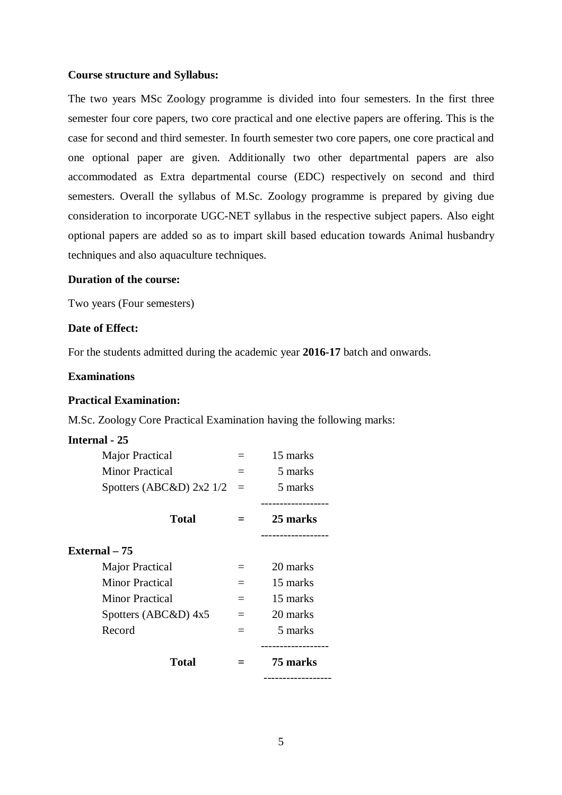#### **Course structure and Syllabus:**

The two years MSc Zoology programme is divided into four semesters. In the first three semester four core papers, two core practical and one elective papers are offering. This is the case for second and third semester. In fourth semester two core papers, one core practical and one optional paper are given. Additionally two other departmental papers are also accommodated as Extra departmental course (EDC) respectively on second and third semesters. Overall the syllabus of M.Sc. Zoology programme is prepared by giving due consideration to incorporate UGC-NET syllabus in the respective subject papers. Also eight optional papers are added so as to impart skill based education towards Animal husbandry techniques and also aquaculture techniques.

## **Duration of the course:**

Two years (Four semesters)

### **Date of Effect:**

For the students admitted during the academic year **2016-17** batch and onwards.

#### **Examinations**

#### **Practical Examination:**

M.Sc. Zoology Core Practical Examination having the following marks:

#### **Internal - 25**

| Major Practical                    |          | 15 marks |
|------------------------------------|----------|----------|
| <b>Minor Practical</b>             |          | 5 marks  |
| Spotters (ABC&D) $2x2 \frac{1}{2}$ | $=$      | 5 marks  |
| <b>Total</b>                       |          | 25 marks |
| External – 75                      |          |          |
| Major Practical                    | $\equiv$ | 20 marks |
| <b>Minor Practical</b>             |          | 15 marks |
| Minor Practical                    | $=$      | 15 marks |
| Spotters (ABC&D) 4x5               | $=$      | 20 marks |
| Record                             | $=$      | 5 marks  |
| <b>Total</b>                       |          | 75 marks |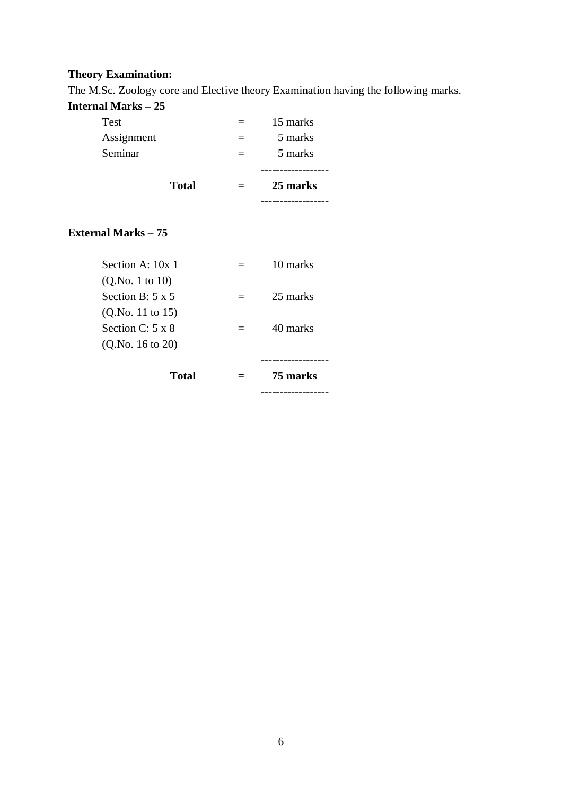# **Theory Examination:**

The M.Sc. Zoology core and Elective theory Examination having the following marks.

# **Internal Marks – 25**

| пистиат м <b>іа</b> гіў — 23                |              |     |          |
|---------------------------------------------|--------------|-----|----------|
| Test                                        |              |     | 15 marks |
| Assignment                                  |              |     | 5 marks  |
| Seminar                                     |              | $=$ | 5 marks  |
|                                             | <b>Total</b> | $=$ | 25 marks |
| <b>External Marks - 75</b>                  |              |     |          |
| Section A: 10x 1<br>(Q.No. 1 to 10)         |              | $=$ | 10 marks |
| Section B: $5 \times 5$<br>(Q.No. 11 to 15) |              | $=$ | 25 marks |
| Section C: $5 \times 8$<br>(Q.No. 16 to 20) |              | $=$ | 40 marks |
|                                             | <b>Total</b> |     | 75 marks |

------------------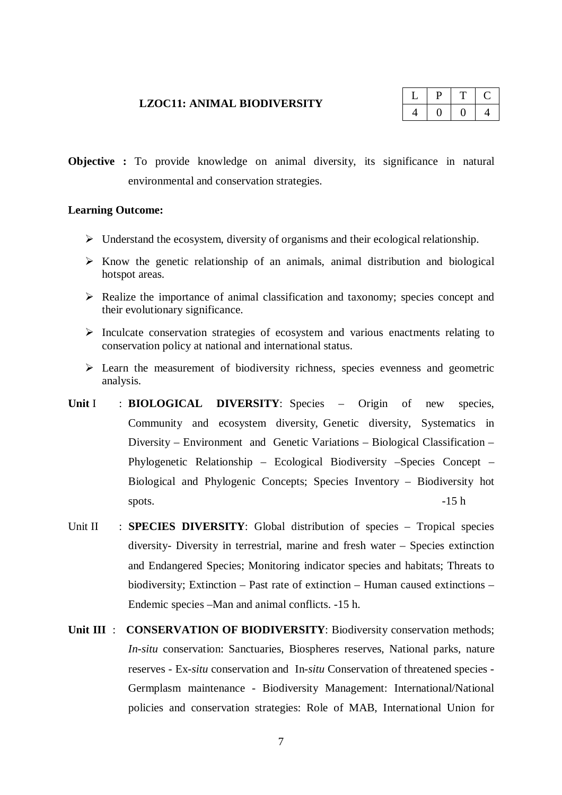#### **LZOC11: ANIMAL BIODIVERSITY**

| ш | __ | х. |
|---|----|----|
|   |    |    |

**Objective :** To provide knowledge on animal diversity, its significance in natural environmental and conservation strategies.

#### **Learning Outcome:**

- $\triangleright$  Understand the ecosystem, diversity of organisms and their ecological relationship.
- $\triangleright$  Know the genetic relationship of an animals, animal distribution and biological hotspot areas.
- $\triangleright$  Realize the importance of animal classification and taxonomy; species concept and their evolutionary significance.
- $\triangleright$  Inculcate conservation strategies of ecosystem and various enactments relating to conservation policy at national and international status.
- $\triangleright$  Learn the measurement of biodiversity richness, species evenness and geometric analysis.
- Unit I : **BIOLOGICAL DIVERSITY**: Species Origin of new species, Community and ecosystem diversity, Genetic diversity, Systematics in Diversity – Environment and Genetic Variations – Biological Classification – Phylogenetic Relationship – Ecological Biodiversity –Species Concept – Biological and Phylogenic Concepts; Species Inventory – Biodiversity hot spots.  $-15 h$
- Unit II : **SPECIES DIVERSITY**: Global distribution of species Tropical species diversity- Diversity in terrestrial, marine and fresh water – Species extinction and Endangered Species; Monitoring indicator species and habitats; Threats to biodiversity; Extinction – Past rate of extinction – Human caused extinctions – Endemic species –Man and animal conflicts. -15 h.
- **Unit III** : **CONSERVATION OF BIODIVERSITY**: Biodiversity conservation methods; *In-situ* conservation: Sanctuaries, Biospheres reserves, National parks, nature reserves - Ex-*situ* conservation and In-*situ* Conservation of threatened species - Germplasm maintenance - Biodiversity Management: International/National policies and conservation strategies: Role of MAB, International Union for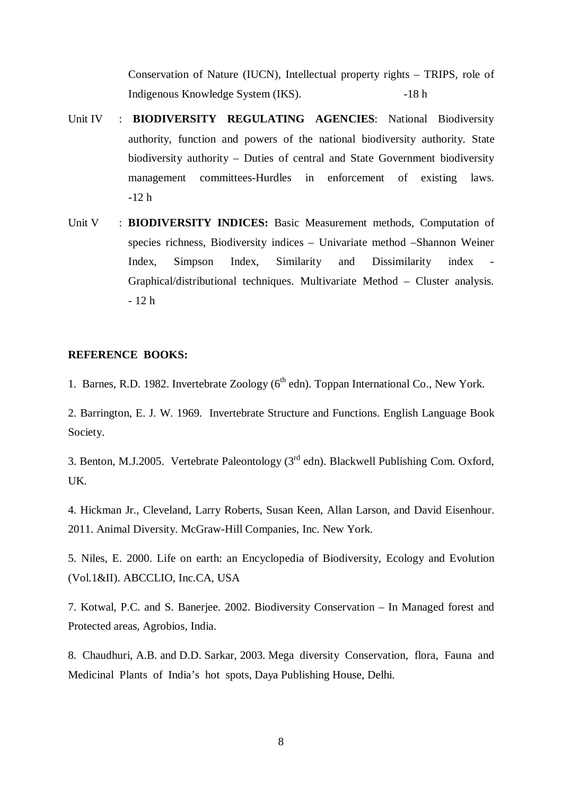Conservation of Nature (IUCN), Intellectual property rights – TRIPS, role of Indigenous Knowledge System (IKS). -18 h

- Unit IV : **BIODIVERSITY REGULATING AGENCIES**: National Biodiversity authority, function and powers of the national biodiversity authority. State biodiversity authority – Duties of central and State Government biodiversity management committees-Hurdles in enforcement of existing laws. -12 h
- Unit V : **BIODIVERSITY INDICES:** Basic Measurement methods, Computation of species richness, Biodiversity indices – Univariate method –Shannon Weiner Index, Simpson Index, Similarity and Dissimilarity index Graphical/distributional techniques. Multivariate Method – Cluster analysis. - 12 h

### **REFERENCE BOOKS:**

1. Barnes, R.D. 1982. Invertebrate Zoology  $(6^{th}$  edn). Toppan International Co., New York.

2. Barrington, E. J. W. 1969. Invertebrate Structure and Functions. English Language Book Society.

3. Benton, M.J.2005. Vertebrate Paleontology (3rd edn). Blackwell Publishing Com. Oxford, UK.

4. Hickman Jr., Cleveland, Larry Roberts, Susan Keen, Allan Larson, and David Eisenhour. 2011. Animal Diversity. McGraw-Hill Companies, Inc. New York.

5. Niles, E. 2000. Life on earth: an Encyclopedia of Biodiversity, Ecology and Evolution (Vol.1&II). ABCCLIO, Inc.CA, USA

7. Kotwal, P.C. and S. Banerjee. 2002. Biodiversity Conservation – In Managed forest and Protected areas, Agrobios, India.

8. Chaudhuri, A.B. and D.D. Sarkar, 2003. Mega diversity Conservation, flora, Fauna and Medicinal Plants of India's hot spots, Daya Publishing House, Delhi.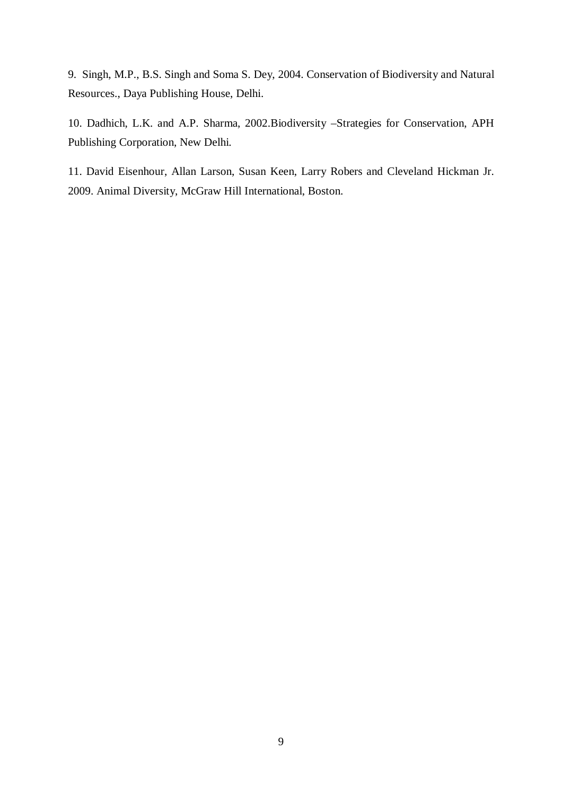9. Singh, M.P., B.S. Singh and Soma S. Dey, 2004. Conservation of Biodiversity and Natural Resources., Daya Publishing House, Delhi.

10. Dadhich, L.K. and A.P. Sharma, 2002.Biodiversity –Strategies for Conservation, APH Publishing Corporation, New Delhi.

11. David Eisenhour, Allan Larson, Susan Keen, Larry Robers and Cleveland Hickman Jr. 2009. Animal Diversity, McGraw Hill International, Boston.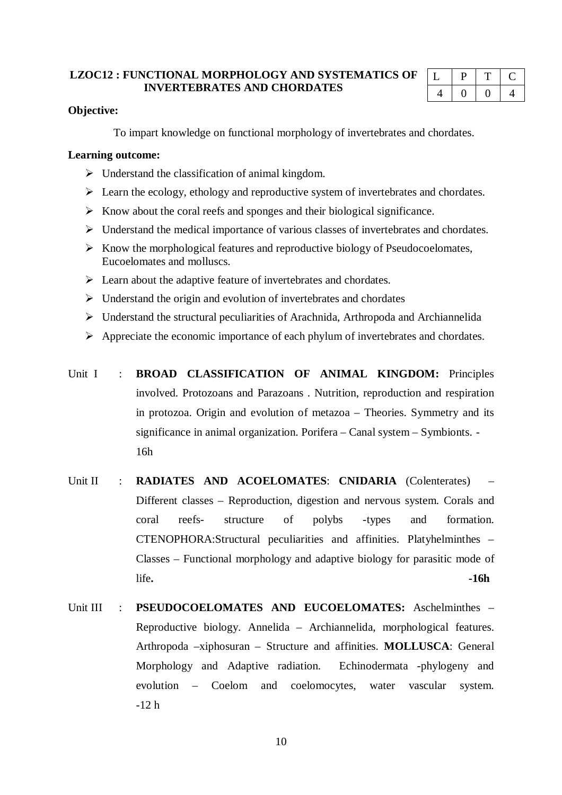## **LZOC12 : FUNCTIONAL MORPHOLOGY AND SYSTEMATICS OF INVERTEBRATES AND CHORDATES**

| ⊷ | ∽ | and the contract of |
|---|---|---------------------|
|   |   | 4                   |

## **Objective:**

To impart knowledge on functional morphology of invertebrates and chordates.

### **Learning outcome:**

- $\triangleright$  Understand the classification of animal kingdom.
- $\triangleright$  Learn the ecology, ethology and reproductive system of invertebrates and chordates.
- $\triangleright$  Know about the coral reefs and sponges and their biological significance.
- Understand the medical importance of various classes of invertebrates and chordates.
- $\triangleright$  Know the morphological features and reproductive biology of Pseudocoelomates, Eucoelomates and molluscs.
- $\triangleright$  Learn about the adaptive feature of invertebrates and chordates.
- $\triangleright$  Understand the origin and evolution of invertebrates and chordates
- $\triangleright$  Understand the structural peculiarities of Arachnida, Arthropoda and Archiannelida
- $\triangleright$  Appreciate the economic importance of each phylum of invertebrates and chordates.

Unit I : **BROAD CLASSIFICATION OF ANIMAL KINGDOM:** Principles involved. Protozoans and Parazoans . Nutrition, reproduction and respiration in protozoa. Origin and evolution of metazoa – Theories. Symmetry and its significance in animal organization. Porifera – Canal system – Symbionts. - 16h

- Unit II : **RADIATES AND ACOELOMATES: CNIDARIA** (Colenterates) Different classes – Reproduction, digestion and nervous system. Corals and coral reefs- structure of polybs -types and formation. CTENOPHORA:Structural peculiarities and affinities. Platyhelminthes – Classes – Functional morphology and adaptive biology for parasitic mode of life**. -16h**
- Unit III : **PSEUDOCOELOMATES AND EUCOELOMATES:** Aschelminthes Reproductive biology. Annelida – Archiannelida, morphological features. Arthropoda –xiphosuran – Structure and affinities. **MOLLUSCA**: General Morphology and Adaptive radiation. Echinodermata -phylogeny and evolution – Coelom and coelomocytes, water vascular system. -12 h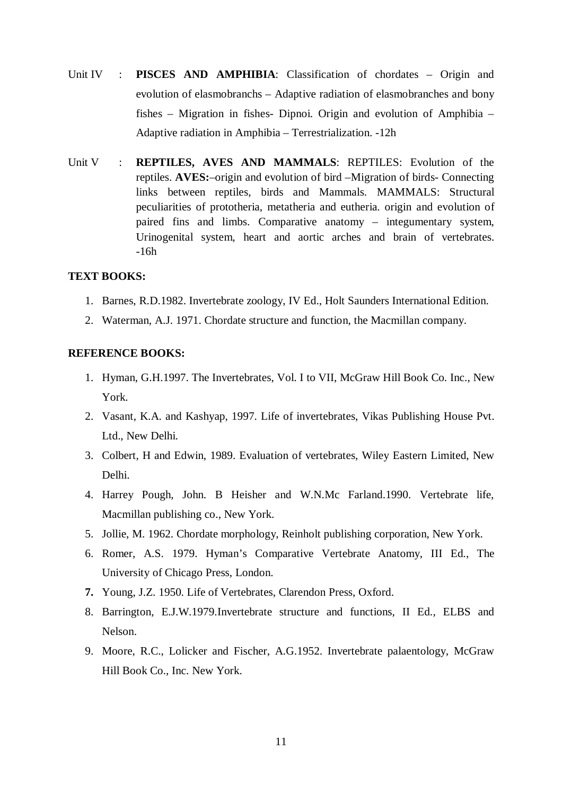- Unit IV : **PISCES AND AMPHIBIA**: Classification of chordates Origin and evolution of elasmobranchs – Adaptive radiation of elasmobranches and bony fishes – Migration in fishes- Dipnoi. Origin and evolution of Amphibia – Adaptive radiation in Amphibia – Terrestrialization. -12h
- Unit V : **REPTILES, AVES AND MAMMALS**: REPTILES: Evolution of the reptiles. **AVES:**–origin and evolution of bird –Migration of birds- Connecting links between reptiles, birds and Mammals. MAMMALS: Structural peculiarities of prototheria, metatheria and eutheria. origin and evolution of paired fins and limbs. Comparative anatomy – integumentary system, Urinogenital system, heart and aortic arches and brain of vertebrates. -16h

## **TEXT BOOKS:**

- 1. Barnes, R.D.1982. Invertebrate zoology, IV Ed., Holt Saunders International Edition.
- 2. Waterman, A.J. 1971. Chordate structure and function, the Macmillan company.

### **REFERENCE BOOKS:**

- 1. Hyman, G.H.1997. The Invertebrates, Vol. I to VII, McGraw Hill Book Co. Inc., New York.
- 2. Vasant, K.A. and Kashyap, 1997. Life of invertebrates, Vikas Publishing House Pvt. Ltd., New Delhi.
- 3. Colbert, H and Edwin, 1989. Evaluation of vertebrates, Wiley Eastern Limited, New Delhi.
- 4. Harrey Pough, John. B Heisher and W.N.Mc Farland.1990. Vertebrate life, Macmillan publishing co., New York.
- 5. Jollie, M. 1962. Chordate morphology, Reinholt publishing corporation, New York.
- 6. Romer, A.S. 1979. Hyman's Comparative Vertebrate Anatomy, III Ed., The University of Chicago Press, London.
- **7.** Young, J.Z. 1950. Life of Vertebrates, Clarendon Press, Oxford.
- 8. Barrington, E.J.W.1979.Invertebrate structure and functions, II Ed., ELBS and Nelson.
- 9. Moore, R.C., Lolicker and Fischer, A.G.1952. Invertebrate palaentology, McGraw Hill Book Co., Inc. New York.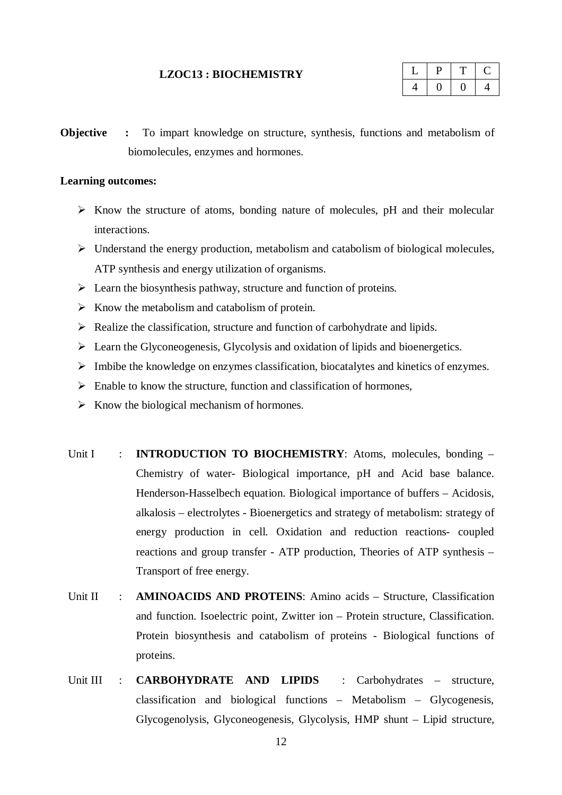#### **LZOC13 : BIOCHEMISTRY**

**Objective :** To impart knowledge on structure, synthesis, functions and metabolism of biomolecules, enzymes and hormones.

## **Learning outcomes:**

- $\triangleright$  Know the structure of atoms, bonding nature of molecules, pH and their molecular interactions.
- $\triangleright$  Understand the energy production, metabolism and catabolism of biological molecules, ATP synthesis and energy utilization of organisms.
- $\triangleright$  Learn the biosynthesis pathway, structure and function of proteins.
- $\triangleright$  Know the metabolism and catabolism of protein.
- $\triangleright$  Realize the classification, structure and function of carbohydrate and lipids.
- $\triangleright$  Learn the Glyconeogenesis, Glycolysis and oxidation of lipids and bioenergetics.
- $\triangleright$  Imbibe the knowledge on enzymes classification, biocatalytes and kinetics of enzymes.
- $\triangleright$  Enable to know the structure, function and classification of hormones,
- $\triangleright$  Know the biological mechanism of hormones.
- Unit I : **INTRODUCTION TO BIOCHEMISTRY**: Atoms, molecules, bonding Chemistry of water- Biological importance, pH and Acid base balance. Henderson-Hasselbech equation. Biological importance of buffers – Acidosis, alkalosis – electrolytes - Bioenergetics and strategy of metabolism: strategy of energy production in cell. Oxidation and reduction reactions- coupled reactions and group transfer - ATP production, Theories of ATP synthesis – Transport of free energy.
- Unit II : **AMINOACIDS AND PROTEINS**: Amino acids Structure, Classification and function. Isoelectric point, Zwitter ion – Protein structure, Classification. Protein biosynthesis and catabolism of proteins - Biological functions of proteins.
- Unit III : **CARBOHYDRATE AND LIPIDS** : Carbohydrates structure, classification and biological functions – Metabolism – Glycogenesis, Glycogenolysis, Glyconeogenesis, Glycolysis, HMP shunt – Lipid structure,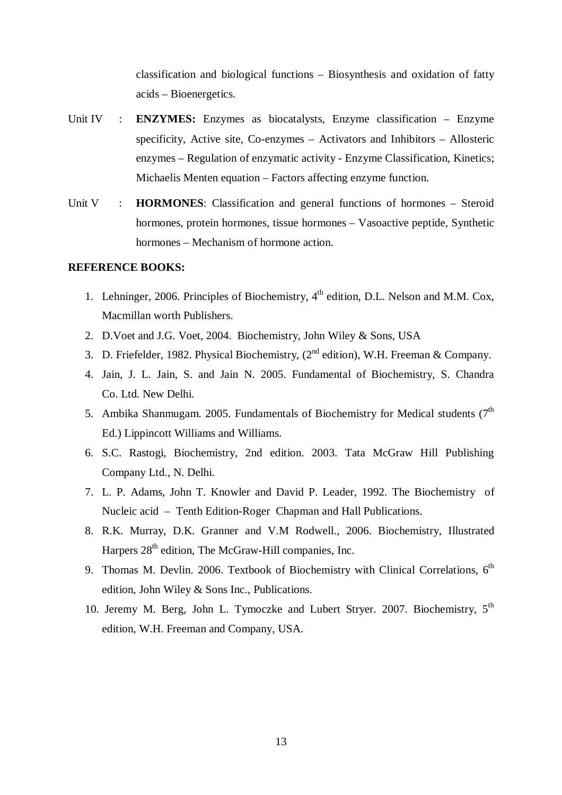classification and biological functions – Biosynthesis and oxidation of fatty acids – Bioenergetics.

- Unit IV : **ENZYMES:** Enzymes as biocatalysts, Enzyme classification Enzyme specificity, Active site, Co-enzymes – Activators and Inhibitors – Allosteric enzymes – Regulation of enzymatic activity - Enzyme Classification, Kinetics; Michaelis Menten equation – Factors affecting enzyme function.
- Unit V : **HORMONES**: Classification and general functions of hormones Steroid hormones, protein hormones, tissue hormones – Vasoactive peptide, Synthetic hormones – Mechanism of hormone action.

## **REFERENCE BOOKS:**

- 1. Lehninger, 2006. Principles of Biochemistry, 4<sup>th</sup> edition, D.L. Nelson and M.M. Cox, Macmillan worth Publishers.
- 2. D.Voet and J.G. Voet, 2004. Biochemistry, John Wiley & Sons, USA
- 3. D. Friefelder, 1982. Physical Biochemistry,  $(2^{nd}$  edition), W.H. Freeman & Company.
- 4. Jain, J. L. Jain, S. and Jain N. 2005. Fundamental of Biochemistry, S. Chandra Co. Ltd. New Delhi.
- 5. Ambika Shanmugam. 2005. Fundamentals of Biochemistry for Medical students  $(7<sup>th</sup>$ Ed.) Lippincott Williams and Williams.
- 6. S.C. Rastogi, Biochemistry, 2nd edition. 2003. Tata McGraw Hill Publishing Company Ltd., N. Delhi.
- 7. L. P. Adams, John T. Knowler and David P. Leader, 1992. The Biochemistry of Nucleic acid – Tenth Edition-Roger Chapman and Hall Publications.
- 8. R.K. Murray, D.K. Granner and V.M Rodwell., 2006. Biochemistry, Illustrated Harpers  $28<sup>th</sup>$  edition, The McGraw-Hill companies, Inc.
- 9. Thomas M. Devlin. 2006. Textbook of Biochemistry with Clinical Correlations,  $6<sup>th</sup>$ edition, John Wiley & Sons Inc., Publications.
- 10. Jeremy M. Berg, John L. Tymoczke and Lubert Stryer. 2007. Biochemistry, 5<sup>th</sup> edition, W.H. Freeman and Company, USA.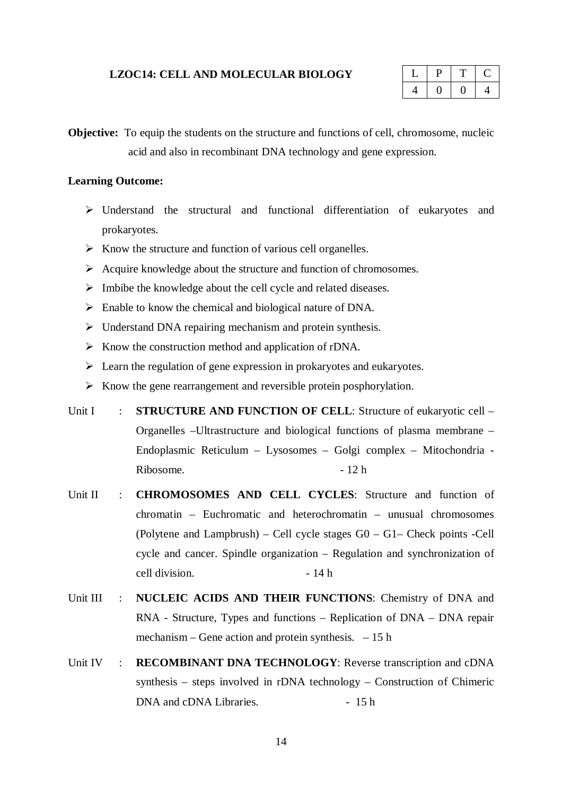### **LZOC14: CELL AND MOLECULAR BIOLOGY**

|  | L. |
|--|----|
|  | Ί. |

**Objective:** To equip the students on the structure and functions of cell, chromosome, nucleic acid and also in recombinant DNA technology and gene expression.

## **Learning Outcome:**

- Understand the structural and functional differentiation of eukaryotes and prokaryotes.
- $\triangleright$  Know the structure and function of various cell organelles.
- $\triangleright$  Acquire knowledge about the structure and function of chromosomes.
- $\triangleright$  Imbibe the knowledge about the cell cycle and related diseases.
- Enable to know the chemical and biological nature of DNA.
- $\triangleright$  Understand DNA repairing mechanism and protein synthesis.
- $\triangleright$  Know the construction method and application of rDNA.
- $\triangleright$  Learn the regulation of gene expression in prokaryotes and eukaryotes.
- $\triangleright$  Know the gene rearrangement and reversible protein posphorylation.
- Unit I : **STRUCTURE AND FUNCTION OF CELL**: Structure of eukaryotic cell Organelles –Ultrastructure and biological functions of plasma membrane – Endoplasmic Reticulum – Lysosomes – Golgi complex – Mitochondria - Ribosome. - 12 h
- Unit II : **CHROMOSOMES AND CELL CYCLES**: Structure and function of chromatin – Euchromatic and heterochromatin – unusual chromosomes (Polytene and Lampbrush) – Cell cycle stages G0 – G1– Check points -Cell cycle and cancer. Spindle organization – Regulation and synchronization of cell division. - 14 h
- Unit III : **NUCLEIC ACIDS AND THEIR FUNCTIONS**: Chemistry of DNA and RNA - Structure, Types and functions – Replication of DNA – DNA repair mechanism – Gene action and protein synthesis.  $-15$  h
- Unit IV : **RECOMBINANT DNA TECHNOLOGY**: Reverse transcription and cDNA synthesis – steps involved in rDNA technology – Construction of Chimeric DNA and cDNA Libraries. - 15 h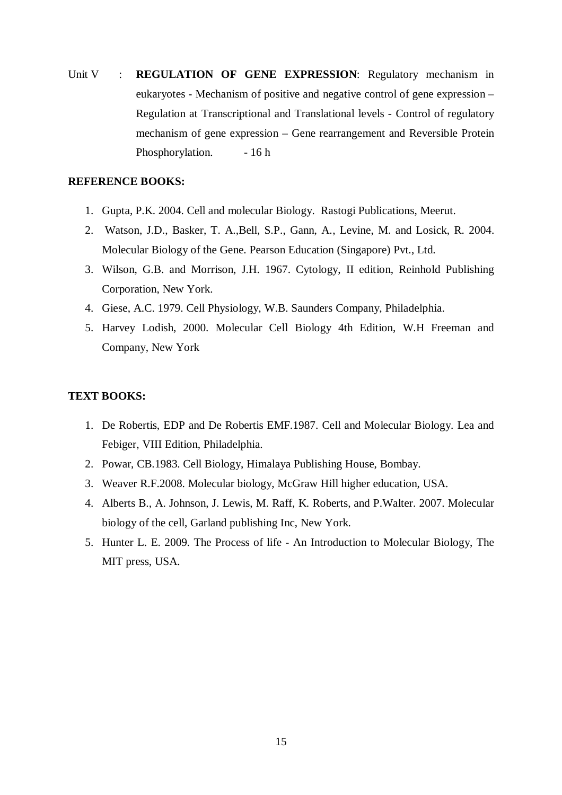Unit V : **REGULATION OF GENE EXPRESSION**: Regulatory mechanism in eukaryotes - Mechanism of positive and negative control of gene expression – Regulation at Transcriptional and Translational levels - Control of regulatory mechanism of gene expression – Gene rearrangement and Reversible Protein Phosphorylation. - 16 h

## **REFERENCE BOOKS:**

- 1. Gupta, P.K. 2004. Cell and molecular Biology. Rastogi Publications, Meerut.
- 2. Watson, J.D., Basker, T. A.,Bell, S.P., Gann, A., Levine, M. and Losick, R. 2004. Molecular Biology of the Gene. Pearson Education (Singapore) Pvt., Ltd.
- 3. Wilson, G.B. and Morrison, J.H. 1967. Cytology, II edition, Reinhold Publishing Corporation, New York.
- 4. Giese, A.C. 1979. Cell Physiology, W.B. Saunders Company, Philadelphia.
- 5. Harvey Lodish, 2000. Molecular Cell Biology 4th Edition, W.H Freeman and Company, New York

## **TEXT BOOKS:**

- 1. De Robertis, EDP and De Robertis EMF.1987. Cell and Molecular Biology. Lea and Febiger, VIII Edition, Philadelphia.
- 2. Powar, CB.1983. Cell Biology, Himalaya Publishing House, Bombay.
- 3. Weaver R.F.2008. Molecular biology, McGraw Hill higher education, USA.
- 4. Alberts B., A. Johnson, J. Lewis, M. Raff, K. Roberts, and P.Walter. 2007. Molecular biology of the cell, Garland publishing Inc, New York.
- 5. Hunter L. E. 2009. The Process of life An Introduction to Molecular Biology, The MIT press, USA.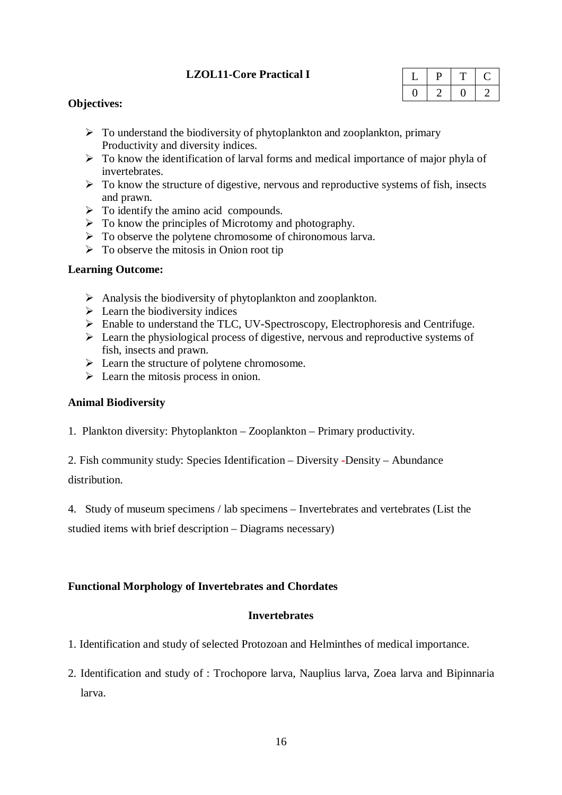## **LZOL11-Core Practical I**

| - 4 |  |  |
|-----|--|--|
|     |  |  |

## **Objectives:**

- $\triangleright$  To understand the biodiversity of phytoplankton and zooplankton, primary Productivity and diversity indices.
- $\triangleright$  To know the identification of larval forms and medical importance of major phyla of invertebrates.
- $\triangleright$  To know the structure of digestive, nervous and reproductive systems of fish, insects and prawn.
- $\triangleright$  To identify the amino acid compounds.
- $\triangleright$  To know the principles of Microtomy and photography.
- $\triangleright$  To observe the polytene chromosome of chironomous larva.
- $\triangleright$  To observe the mitosis in Onion root tip

## **Learning Outcome:**

- $\triangleright$  Analysis the biodiversity of phytoplankton and zooplankton.
- $\triangleright$  Learn the biodiversity indices
- Enable to understand the TLC, UV-Spectroscopy, Electrophoresis and Centrifuge.
- $\triangleright$  Learn the physiological process of digestive, nervous and reproductive systems of fish, insects and prawn.
- $\triangleright$  Learn the structure of polytene chromosome.
- $\triangleright$  Learn the mitosis process in onion.

## **Animal Biodiversity**

1. Plankton diversity: Phytoplankton – Zooplankton – Primary productivity.

2. Fish community study: Species Identification – Diversity **-**Density – Abundance distribution.

4. Study of museum specimens / lab specimens – Invertebrates and vertebrates (List the

studied items with brief description – Diagrams necessary)

## **Functional Morphology of Invertebrates and Chordates**

## **Invertebrates**

- 1. Identification and study of selected Protozoan and Helminthes of medical importance.
- 2. Identification and study of : Trochopore larva, Nauplius larva, Zoea larva and Bipinnaria larva.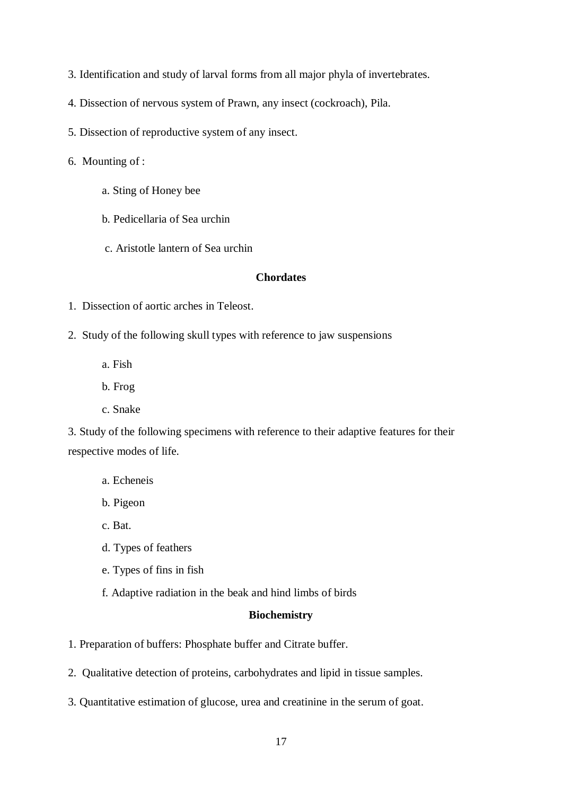- 3. Identification and study of larval forms from all major phyla of invertebrates.
- 4. Dissection of nervous system of Prawn, any insect (cockroach), Pila.
- 5. Dissection of reproductive system of any insect.
- 6. Mounting of :
	- a. Sting of Honey bee
	- b. Pedicellaria of Sea urchin
	- c. Aristotle lantern of Sea urchin

### **Chordates**

- 1. Dissection of aortic arches in Teleost.
- 2. Study of the following skull types with reference to jaw suspensions
	- a. Fish
	- b. Frog
	- c. Snake

3. Study of the following specimens with reference to their adaptive features for their respective modes of life.

- a. Echeneis
- b. Pigeon
- c. Bat.
- d. Types of feathers
- e. Types of fins in fish
- f. Adaptive radiation in the beak and hind limbs of birds

## **Biochemistry**

- 1. Preparation of buffers: Phosphate buffer and Citrate buffer.
- 2. Qualitative detection of proteins, carbohydrates and lipid in tissue samples.
- 3. Quantitative estimation of glucose, urea and creatinine in the serum of goat.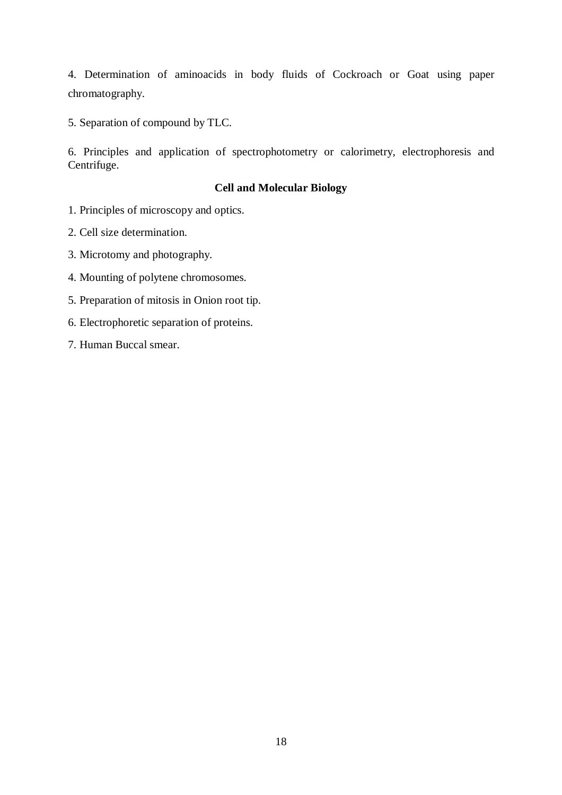4. Determination of aminoacids in body fluids of Cockroach or Goat using paper chromatography.

5. Separation of compound by TLC.

6. Principles and application of spectrophotometry or calorimetry, electrophoresis and Centrifuge.

## **Cell and Molecular Biology**

- 1. Principles of microscopy and optics.
- 2. Cell size determination.
- 3. Microtomy and photography.
- 4. Mounting of polytene chromosomes.
- 5. Preparation of mitosis in Onion root tip.
- 6. Electrophoretic separation of proteins.
- 7. Human Buccal smear.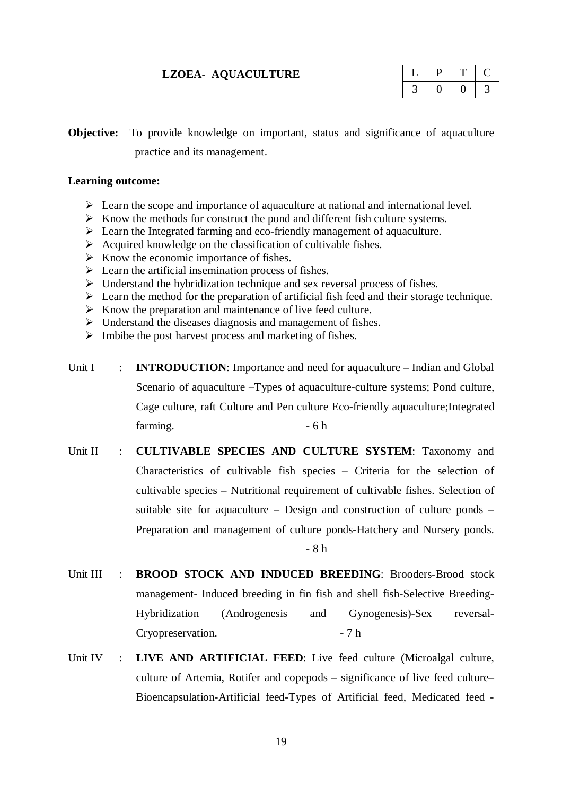## **LZOEA- AQUACULTURE**

**Objective:** To provide knowledge on important, status and significance of aquaculture practice and its management.

## **Learning outcome:**

- $\triangleright$  Learn the scope and importance of aquaculture at national and international level.
- $\triangleright$  Know the methods for construct the pond and different fish culture systems.
- Learn the Integrated farming and eco-friendly management of aquaculture.
- $\triangleright$  Acquired knowledge on the classification of cultivable fishes.
- $\triangleright$  Know the economic importance of fishes.
- $\triangleright$  Learn the artificial insemination process of fishes.
- $\triangleright$  Understand the hybridization technique and sex reversal process of fishes.
- $\triangleright$  Learn the method for the preparation of artificial fish feed and their storage technique.
- $\triangleright$  Know the preparation and maintenance of live feed culture.
- $\triangleright$  Understand the diseases diagnosis and management of fishes.
- $\triangleright$  Imbibe the post harvest process and marketing of fishes.
- Unit I : **INTRODUCTION**: Importance and need for aquaculture Indian and Global Scenario of aquaculture –Types of aquaculture-culture systems; Pond culture, Cage culture, raft Culture and Pen culture Eco-friendly aquaculture;Integrated farming.  $-6 h$
- Unit II : **CULTIVABLE SPECIES AND CULTURE SYSTEM**: Taxonomy and Characteristics of cultivable fish species – Criteria for the selection of cultivable species – Nutritional requirement of cultivable fishes. Selection of suitable site for aquaculture – Design and construction of culture ponds – Preparation and management of culture ponds-Hatchery and Nursery ponds. - 8 h
- Unit III : **BROOD STOCK AND INDUCED BREEDING**: Brooders-Brood stock management- Induced breeding in fin fish and shell fish-Selective Breeding-Hybridization (Androgenesis and Gynogenesis)-Sex reversal-Cryopreservation. - 7 h
- Unit IV : **LIVE AND ARTIFICIAL FEED**: Live feed culture (Microalgal culture, culture of Artemia, Rotifer and copepods – significance of live feed culture– Bioencapsulation-Artificial feed-Types of Artificial feed, Medicated feed -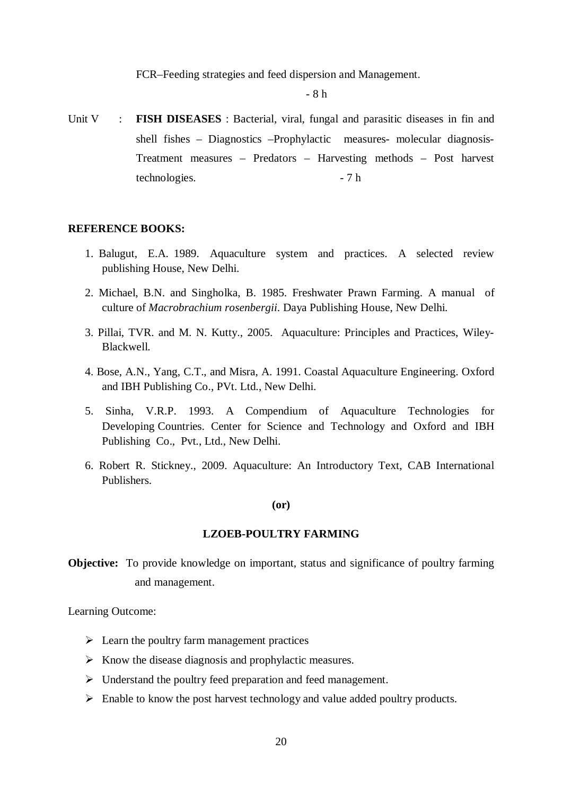FCR–Feeding strategies and feed dispersion and Management.

- 8 h

Unit V : **FISH DISEASES** : Bacterial, viral, fungal and parasitic diseases in fin and shell fishes – Diagnostics –Prophylactic measures- molecular diagnosis-Treatment measures – Predators – Harvesting methods – Post harvest technologies. - 7 h

#### **REFERENCE BOOKS:**

- 1. Balugut, E.A. 1989. Aquaculture system and practices. A selected review publishing House, New Delhi.
- 2. Michael, B.N. and Singholka, B. 1985. Freshwater Prawn Farming. A manual of culture of *Macrobrachium rosenbergii*. Daya Publishing House, New Delhi.
- 3. Pillai, TVR. and M. N. Kutty., 2005. Aquaculture: Principles and Practices, Wiley-Blackwell.
- 4. Bose, A.N., Yang, C.T., and Misra, A. 1991. Coastal Aquaculture Engineering. Oxford and IBH Publishing Co., PVt. Ltd., New Delhi.
- 5. Sinha, V.R.P. 1993. A Compendium of Aquaculture Technologies for Developing Countries. Center for Science and Technology and Oxford and IBH Publishing Co., Pvt., Ltd., New Delhi.
- 6. Robert R. Stickney., 2009. Aquaculture: An Introductory Text, CAB International Publishers.

#### **(or)**

### **LZOEB-POULTRY FARMING**

**Objective:** To provide knowledge on important, status and significance of poultry farming and management.

Learning Outcome:

- $\triangleright$  Learn the poultry farm management practices
- $\triangleright$  Know the disease diagnosis and prophylactic measures.
- $\triangleright$  Understand the poultry feed preparation and feed management.
- $\triangleright$  Enable to know the post harvest technology and value added poultry products.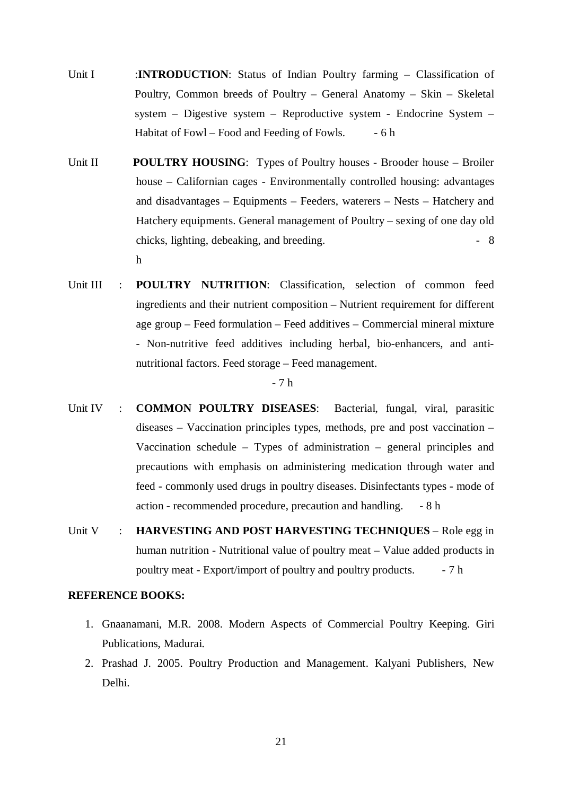- Unit I :**INTRODUCTION**: Status of Indian Poultry farming Classification of Poultry, Common breeds of Poultry – General Anatomy – Skin – Skeletal system – Digestive system – Reproductive system - Endocrine System – Habitat of Fowl – Food and Feeding of Fowls. - 6 h
- Unit II **POULTRY HOUSING**: Types of Poultry houses Brooder house Broiler house – Californian cages - Environmentally controlled housing: advantages and disadvantages – Equipments – Feeders, waterers – Nests – Hatchery and Hatchery equipments. General management of Poultry – sexing of one day old chicks, lighting, debeaking, and breeding.  $\overline{\phantom{a}}$  - 8 h
- Unit III : **POULTRY NUTRITION**: Classification, selection of common feed ingredients and their nutrient composition – Nutrient requirement for different age group – Feed formulation – Feed additives – Commercial mineral mixture - Non-nutritive feed additives including herbal, bio-enhancers, and antinutritional factors. Feed storage – Feed management.

- 7 h

- Unit IV : **COMMON POULTRY DISEASES**: Bacterial, fungal, viral, parasitic diseases – Vaccination principles types, methods, pre and post vaccination – Vaccination schedule – Types of administration – general principles and precautions with emphasis on administering medication through water and feed - commonly used drugs in poultry diseases. Disinfectants types - mode of action - recommended procedure, precaution and handling. - 8 h
- Unit V : **HARVESTING AND POST HARVESTING TECHNIQUES** Role egg in human nutrition - Nutritional value of poultry meat – Value added products in poultry meat - Export/import of poultry and poultry products. - 7 h

## **REFERENCE BOOKS:**

- 1. Gnaanamani, M.R. 2008. Modern Aspects of Commercial Poultry Keeping. Giri Publications, Madurai.
- 2. Prashad J. 2005. Poultry Production and Management. Kalyani Publishers, New Delhi.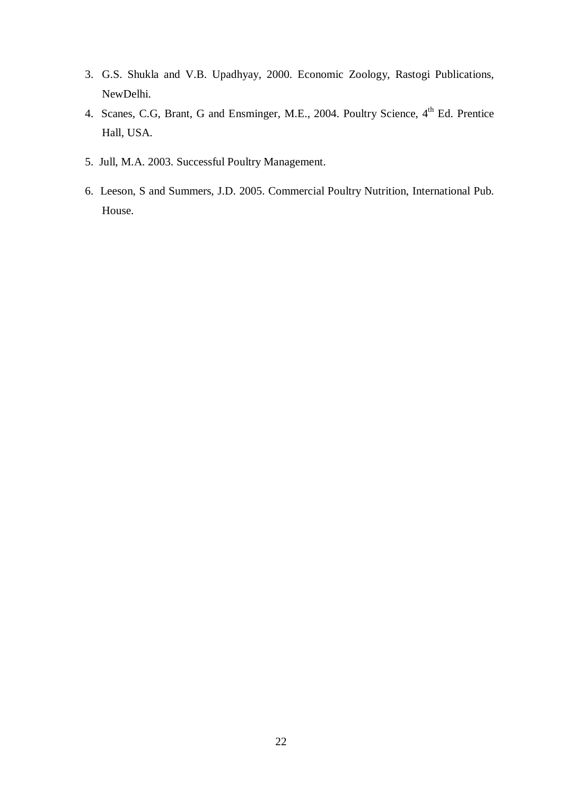- 3. G.S. Shukla and V.B. Upadhyay, 2000. Economic Zoology, Rastogi Publications, NewDelhi.
- 4. Scanes, C.G, Brant, G and Ensminger, M.E., 2004. Poultry Science, 4<sup>th</sup> Ed. Prentice Hall, USA.
- 5. Jull, M.A. 2003. Successful Poultry Management.
- 6. Leeson, S and Summers, J.D. 2005. Commercial Poultry Nutrition, International Pub. House.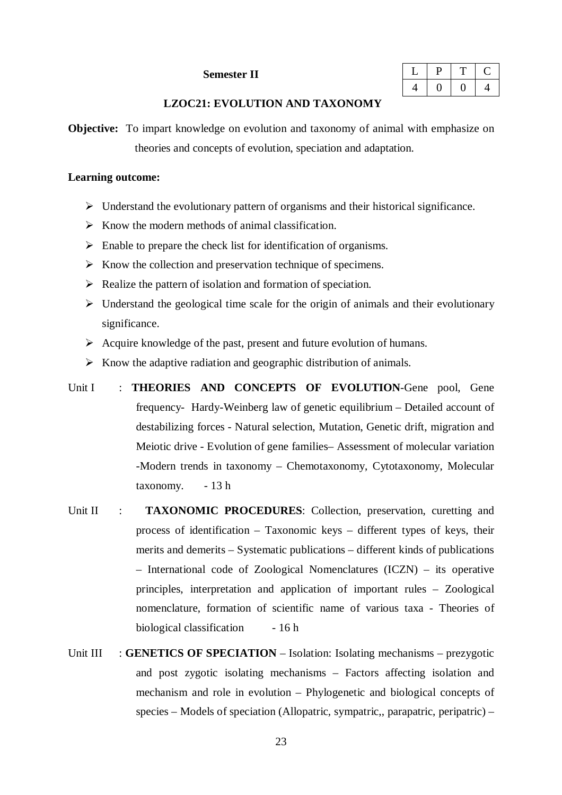### **Semester II**

## **LZOC21: EVOLUTION AND TAXONOMY**

**Objective:** To impart knowledge on evolution and taxonomy of animal with emphasize on theories and concepts of evolution, speciation and adaptation.

#### **Learning outcome:**

- $\triangleright$  Understand the evolutionary pattern of organisms and their historical significance.
- $\triangleright$  Know the modern methods of animal classification.
- $\triangleright$  Enable to prepare the check list for identification of organisms.
- $\triangleright$  Know the collection and preservation technique of specimens.
- $\triangleright$  Realize the pattern of isolation and formation of speciation.
- $\triangleright$  Understand the geological time scale for the origin of animals and their evolutionary significance.
- $\triangleright$  Acquire knowledge of the past, present and future evolution of humans.
- $\triangleright$  Know the adaptive radiation and geographic distribution of animals.
- Unit I : **THEORIES AND CONCEPTS OF EVOLUTION**-Gene pool, Gene frequency- Hardy-Weinberg law of genetic equilibrium – Detailed account of destabilizing forces - Natural selection, Mutation, Genetic drift, migration and Meiotic drive - Evolution of gene families– Assessment of molecular variation -Modern trends in taxonomy – Chemotaxonomy, Cytotaxonomy, Molecular taxonomy. - 13 h
- Unit II : **TAXONOMIC PROCEDURES**: Collection, preservation, curetting and process of identification – Taxonomic keys – different types of keys, their merits and demerits – Systematic publications – different kinds of publications – International code of Zoological Nomenclatures (ICZN) – its operative principles, interpretation and application of important rules – Zoological nomenclature, formation of scientific name of various taxa - Theories of biological classification - 16 h
- Unit III : **GENETICS OF SPECIATION** Isolation: Isolating mechanisms prezygotic and post zygotic isolating mechanisms – Factors affecting isolation and mechanism and role in evolution – Phylogenetic and biological concepts of species – Models of speciation (Allopatric, sympatric,, parapatric, peripatric) –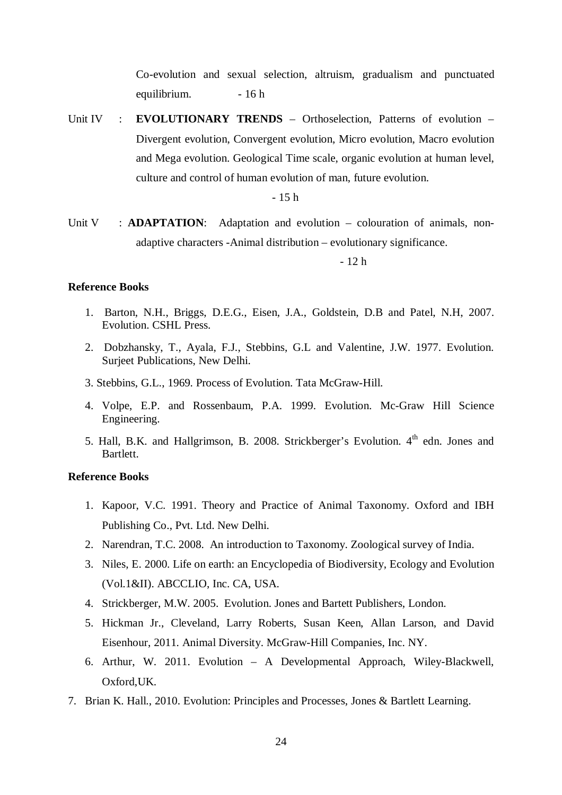Co-evolution and sexual selection, altruism, gradualism and punctuated equilibrium. - 16 h

Unit IV : **EVOLUTIONARY TRENDS** – Orthoselection, Patterns of evolution – Divergent evolution, Convergent evolution, Micro evolution, Macro evolution and Mega evolution. Geological Time scale, organic evolution at human level, culture and control of human evolution of man, future evolution.

- 15 h

Unit V : **ADAPTATION**: Adaptation and evolution – colouration of animals, nonadaptive characters -Animal distribution – evolutionary significance.

- 12 h

## **Reference Books**

- 1. Barton, N.H., Briggs, D.E.G., Eisen, J.A., Goldstein, D.B and Patel, N.H, 2007. Evolution. CSHL Press.
- 2. Dobzhansky, T., Ayala, F.J., Stebbins, G.L and Valentine, J.W. 1977. Evolution. Surjeet Publications, New Delhi.
- 3. Stebbins, G.L., 1969. Process of Evolution. Tata McGraw-Hill.
- 4. Volpe, E.P. and Rossenbaum, P.A. 1999. Evolution. Mc-Graw Hill Science Engineering.
- 5. Hall, B.K. and Hallgrimson, B. 2008. Strickberger's Evolution.  $4<sup>th</sup>$  edn. Jones and Bartlett.

### **Reference Books**

- 1. Kapoor, V.C. 1991. Theory and Practice of Animal Taxonomy. Oxford and IBH Publishing Co., Pvt. Ltd. New Delhi.
- 2. Narendran, T.C. 2008. An introduction to Taxonomy. Zoological survey of India.
- 3. Niles, E. 2000. Life on earth: an Encyclopedia of Biodiversity, Ecology and Evolution (Vol.1&II). ABCCLIO, Inc. CA, USA.
- 4. Strickberger, M.W. 2005. Evolution. Jones and Bartett Publishers, London.
- 5. Hickman Jr., Cleveland, Larry Roberts, Susan Keen, Allan Larson, and David Eisenhour, 2011. Animal Diversity. McGraw-Hill Companies, Inc. NY.
- 6. Arthur, W. 2011. Evolution A Developmental Approach, Wiley-Blackwell, Oxford,UK.
- 7. Brian K. Hall., 2010. Evolution: Principles and Processes, Jones & Bartlett Learning.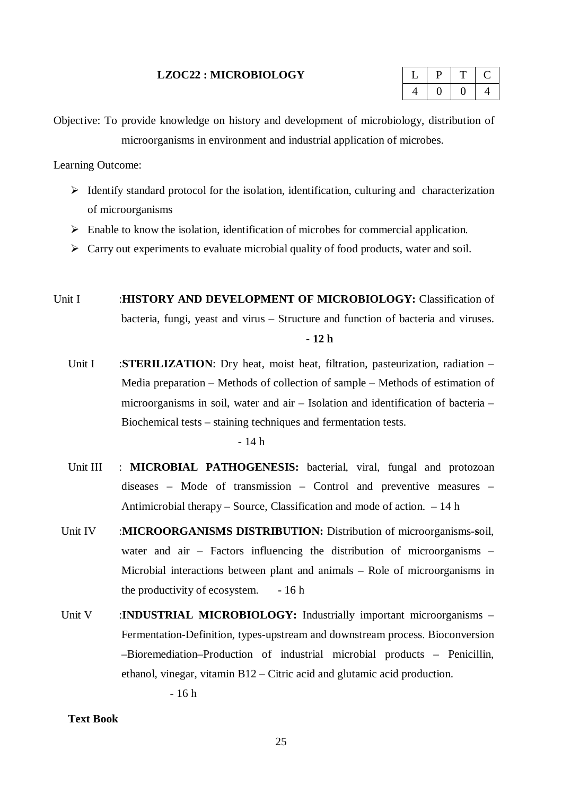#### **LZOC22 : MICROBIOLOGY**

|  | - |  |
|--|---|--|
|  |   |  |

Objective: To provide knowledge on history and development of microbiology, distribution of microorganisms in environment and industrial application of microbes.

Learning Outcome:

- $\triangleright$  Identify standard protocol for the isolation, identification, culturing and characterization of microorganisms
- $\triangleright$  Enable to know the isolation, identification of microbes for commercial application.
- $\triangleright$  Carry out experiments to evaluate microbial quality of food products, water and soil.
- Unit I :**HISTORY AND DEVELOPMENT OF MICROBIOLOGY:** Classification of bacteria, fungi, yeast and virus – Structure and function of bacteria and viruses. **- 12 h**
	- Unit I :**STERILIZATION**: Dry heat, moist heat, filtration, pasteurization, radiation Media preparation – Methods of collection of sample – Methods of estimation of microorganisms in soil, water and air – Isolation and identification of bacteria – Biochemical tests – staining techniques and fermentation tests.

- 14 h

- Unit III : **MICROBIAL PATHOGENESIS:** bacterial, viral, fungal and protozoan diseases – Mode of transmission – Control and preventive measures – Antimicrobial therapy – Source, Classification and mode of action. – 14 h
- Unit IV :**MICROORGANISMS DISTRIBUTION:** Distribution of microorganisms-soil, water and air – Factors influencing the distribution of microorganisms – Microbial interactions between plant and animals – Role of microorganisms in the productivity of ecosystem. - 16 h
- Unit V :**INDUSTRIAL MICROBIOLOGY:** Industrially important microorganisms Fermentation-Definition, types-upstream and downstream process. Bioconversion –Bioremediation–Production of industrial microbial products – Penicillin, ethanol, vinegar, vitamin B12 – Citric acid and glutamic acid production.

- 16 h

## **Text Book**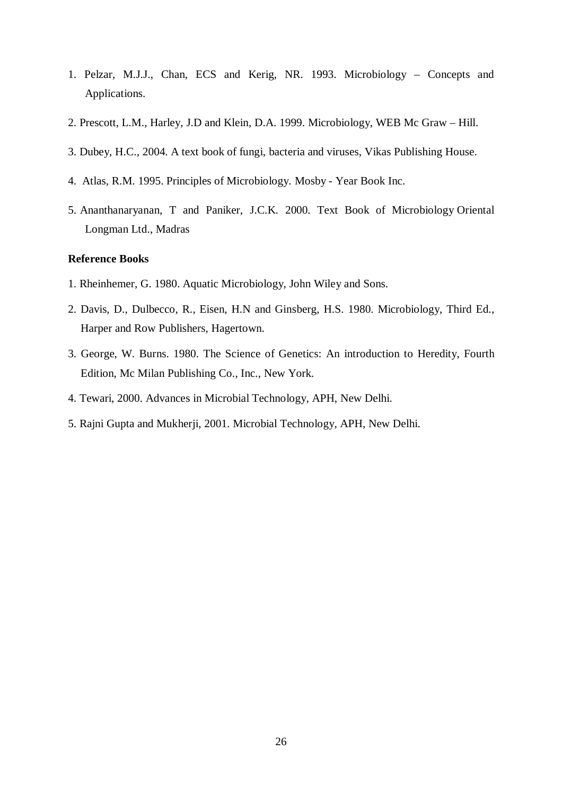- 1. Pelzar, M.J.J., Chan, ECS and Kerig, NR. 1993. Microbiology Concepts and Applications.
- 2. Prescott, L.M., Harley, J.D and Klein, D.A. 1999. Microbiology, WEB Mc Graw Hill.
- 3. Dubey, H.C., 2004. A text book of fungi, bacteria and viruses, Vikas Publishing House.
- 4. Atlas, R.M. 1995. Principles of Microbiology. Mosby Year Book Inc.
- 5. Ananthanaryanan, T and Paniker, J.C.K. 2000. Text Book of Microbiology Oriental Longman Ltd., Madras

## **Reference Books**

- 1. Rheinhemer, G. 1980. Aquatic Microbiology, John Wiley and Sons.
- 2. Davis, D., Dulbecco, R., Eisen, H.N and Ginsberg, H.S. 1980. Microbiology, Third Ed., Harper and Row Publishers, Hagertown.
- 3. George, W. Burns. 1980. The Science of Genetics: An introduction to Heredity, Fourth Edition, Mc Milan Publishing Co., Inc., New York.
- 4. Tewari, 2000. Advances in Microbial Technology, APH, New Delhi.
- 5. Rajni Gupta and Mukherji, 2001. Microbial Technology, APH, New Delhi.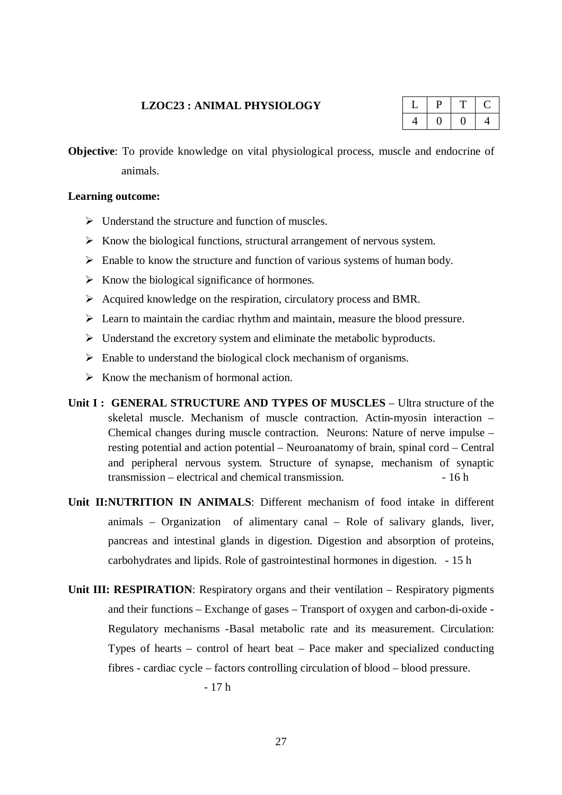#### **LZOC23 : ANIMAL PHYSIOLOGY**

**Objective**: To provide knowledge on vital physiological process, muscle and endocrine of animals.

### **Learning outcome:**

- $\triangleright$  Understand the structure and function of muscles.
- $\triangleright$  Know the biological functions, structural arrangement of nervous system.
- $\triangleright$  Enable to know the structure and function of various systems of human body.
- $\triangleright$  Know the biological significance of hormones.
- $\triangleright$  Acquired knowledge on the respiration, circulatory process and BMR.
- $\triangleright$  Learn to maintain the cardiac rhythm and maintain, measure the blood pressure.
- $\triangleright$  Understand the excretory system and eliminate the metabolic byproducts.
- $\triangleright$  Enable to understand the biological clock mechanism of organisms.
- $\triangleright$  Know the mechanism of hormonal action.
- **Unit I : GENERAL STRUCTURE AND TYPES OF MUSCLES** Ultra structure of the skeletal muscle. Mechanism of muscle contraction. Actin-myosin interaction – Chemical changes during muscle contraction. Neurons: Nature of nerve impulse – resting potential and action potential – Neuroanatomy of brain, spinal cord – Central and peripheral nervous system. Structure of synapse, mechanism of synaptic  $transmission - electrical and chemical transmission.$   $-16 h$
- **Unit II:NUTRITION IN ANIMALS**: Different mechanism of food intake in different animals – Organization of alimentary canal – Role of salivary glands, liver, pancreas and intestinal glands in digestion. Digestion and absorption of proteins, carbohydrates and lipids. Role of gastrointestinal hormones in digestion. - 15 h
- **Unit III: RESPIRATION:** Respiratory organs and their ventilation Respiratory pigments and their functions – Exchange of gases – Transport of oxygen and carbon-di-oxide - Regulatory mechanisms -Basal metabolic rate and its measurement. Circulation: Types of hearts – control of heart beat – Pace maker and specialized conducting fibres - cardiac cycle – factors controlling circulation of blood – blood pressure.

- 17 h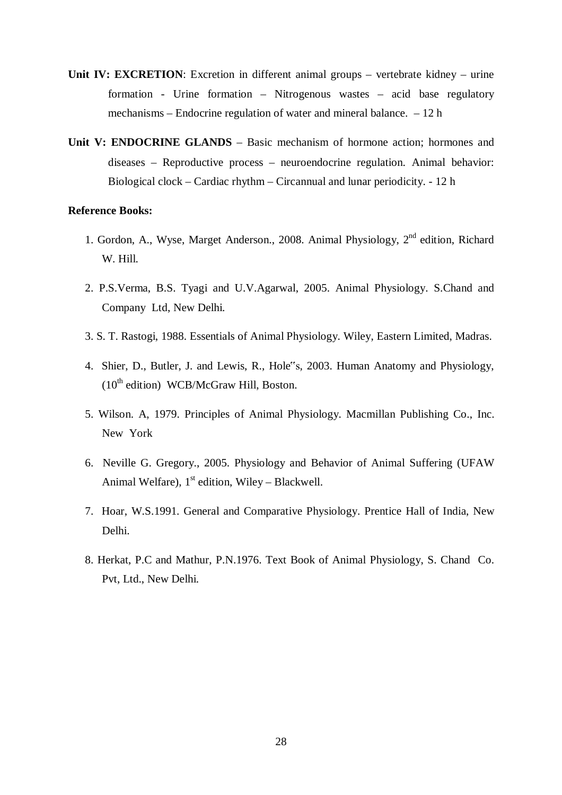- **Unit IV: EXCRETION:** Excretion in different animal groups vertebrate kidney urine formation - Urine formation – Nitrogenous wastes – acid base regulatory mechanisms – Endocrine regulation of water and mineral balance. – 12 h
- Unit V: ENDOCRINE GLANDS Basic mechanism of hormone action; hormones and diseases – Reproductive process – neuroendocrine regulation. Animal behavior: Biological clock – Cardiac rhythm – Circannual and lunar periodicity. - 12 h

#### **Reference Books:**

- 1. Gordon, A., Wyse, Marget Anderson., 2008. Animal Physiology, 2<sup>nd</sup> edition, Richard W. Hill.
- 2. P.S.Verma, B.S. Tyagi and U.V.Agarwal, 2005. Animal Physiology. S.Chand and Company Ltd, New Delhi.
- 3. S. T. Rastogi, 1988. Essentials of Animal Physiology. Wiley, Eastern Limited, Madras.
- 4. Shier, D., Butler, J. and Lewis, R., Hole"s, 2003. Human Anatomy and Physiology,  $(10<sup>th</sup>$  edition) WCB/McGraw Hill, Boston.
- 5. Wilson. A, 1979. Principles of Animal Physiology. Macmillan Publishing Co., Inc. New York
- 6. Neville G. Gregory., 2005. Physiology and Behavior of Animal Suffering (UFAW Animal Welfare),  $1<sup>st</sup>$  edition, Wiley – Blackwell.
- 7. Hoar, W.S.1991. General and Comparative Physiology. Prentice Hall of India, New Delhi.
- 8. Herkat, P.C and Mathur, P.N.1976. Text Book of Animal Physiology, S. Chand Co. Pvt, Ltd., New Delhi.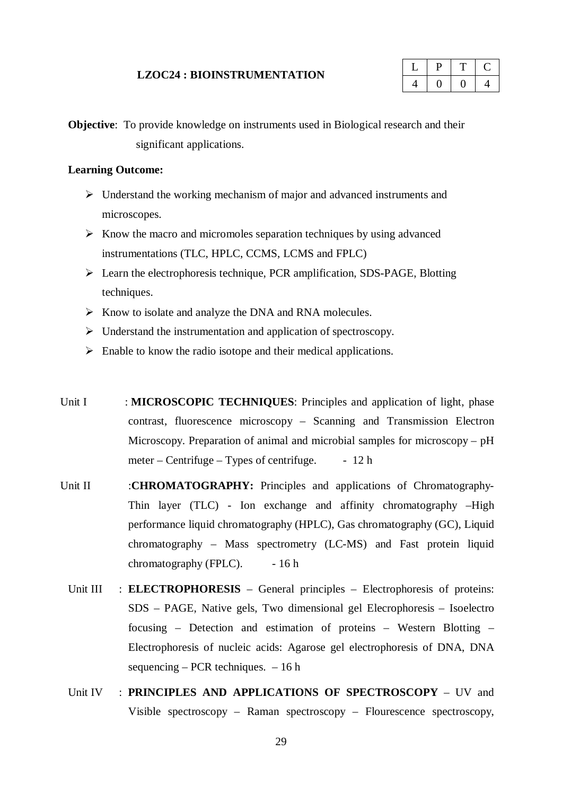#### **LZOC24 : BIOINSTRUMENTATION**

| u |  |
|---|--|
|   |  |

**Objective**: To provide knowledge on instruments used in Biological research and their significant applications.

### **Learning Outcome:**

- $\triangleright$  Understand the working mechanism of major and advanced instruments and microscopes.
- $\triangleright$  Know the macro and micromoles separation techniques by using advanced instrumentations (TLC, HPLC, CCMS, LCMS and FPLC)
- Learn the electrophoresis technique, PCR amplification, SDS-PAGE, Blotting techniques.
- $\triangleright$  Know to isolate and analyze the DNA and RNA molecules.
- $\triangleright$  Understand the instrumentation and application of spectroscopy.
- $\triangleright$  Enable to know the radio isotope and their medical applications.
- Unit I : **MICROSCOPIC TECHNIQUES**: Principles and application of light, phase contrast, fluorescence microscopy – Scanning and Transmission Electron Microscopy. Preparation of animal and microbial samples for microscopy – pH meter – Centrifuge – Types of centrifuge.  $-12 h$
- Unit II :**CHROMATOGRAPHY:** Principles and applications of Chromatography-Thin layer (TLC) - Ion exchange and affinity chromatography –High performance liquid chromatography (HPLC), Gas chromatography (GC), Liquid chromatography – Mass spectrometry (LC-MS) and Fast protein liquid chromatography (FPLC).  $-16 h$ 
	- Unit III : **ELECTROPHORESIS** General principles Electrophoresis of proteins: SDS – PAGE, Native gels, Two dimensional gel Elecrophoresis – Isoelectro focusing – Detection and estimation of proteins – Western Blotting – Electrophoresis of nucleic acids: Agarose gel electrophoresis of DNA, DNA sequencing – PCR techniques.  $-16$  h
	- Unit IV : **PRINCIPLES AND APPLICATIONS OF SPECTROSCOPY** UV and Visible spectroscopy – Raman spectroscopy – Flourescence spectroscopy,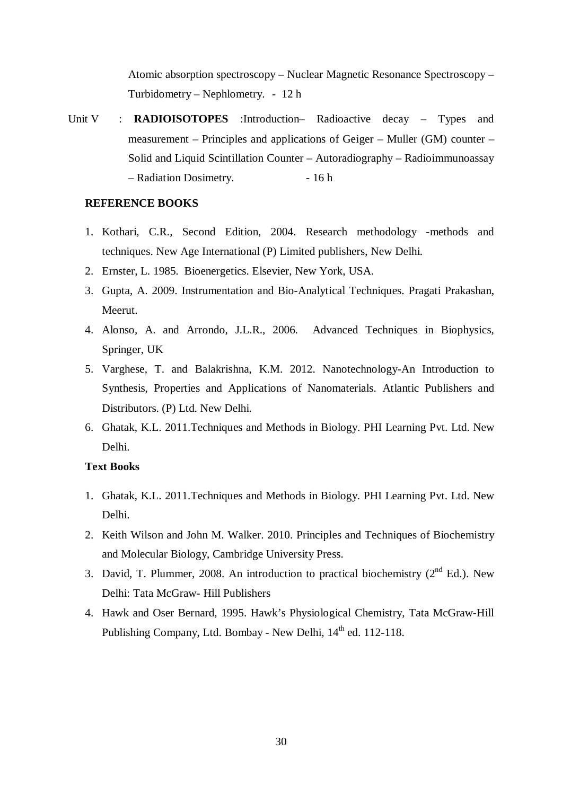Atomic absorption spectroscopy – Nuclear Magnetic Resonance Spectroscopy – Turbidometry – Nephlometry. - 12 h

Unit V : **RADIOISOTOPES** :Introduction- Radioactive decay – Types and measurement – Principles and applications of Geiger – Muller (GM) counter – Solid and Liquid Scintillation Counter – Autoradiography – Radioimmunoassay – Radiation Dosimetry. - 16 h

## **REFERENCE BOOKS**

- 1. Kothari, C.R., Second Edition, 2004. Research methodology -methods and techniques. New Age International (P) Limited publishers, New Delhi.
- 2. Ernster, L. 1985. Bioenergetics. Elsevier, New York, USA.
- 3. Gupta, A. 2009. Instrumentation and Bio-Analytical Techniques. Pragati Prakashan, Meerut.
- 4. Alonso, A. and Arrondo, J.L.R., 2006. Advanced Techniques in Biophysics, Springer, UK
- 5. Varghese, T. and Balakrishna, K.M. 2012. Nanotechnology-An Introduction to Synthesis, Properties and Applications of Nanomaterials. Atlantic Publishers and Distributors. (P) Ltd. New Delhi.
- 6. Ghatak, K.L. 2011.Techniques and Methods in Biology. PHI Learning Pvt. Ltd. New Delhi.

#### **Text Books**

- 1. Ghatak, K.L. 2011.Techniques and Methods in Biology. PHI Learning Pvt. Ltd. New Delhi.
- 2. Keith Wilson and John M. Walker. 2010. Principles and Techniques of Biochemistry and Molecular Biology, Cambridge University Press.
- 3. David, T. Plummer, 2008. An introduction to practical biochemistry  $(2^{nd} Ed.)$ . New Delhi: Tata McGraw- Hill Publishers
- 4. Hawk and Oser Bernard, 1995. Hawk's Physiological Chemistry, Tata McGraw-Hill Publishing Company, Ltd. Bombay - New Delhi,  $14<sup>th</sup>$  ed. 112-118.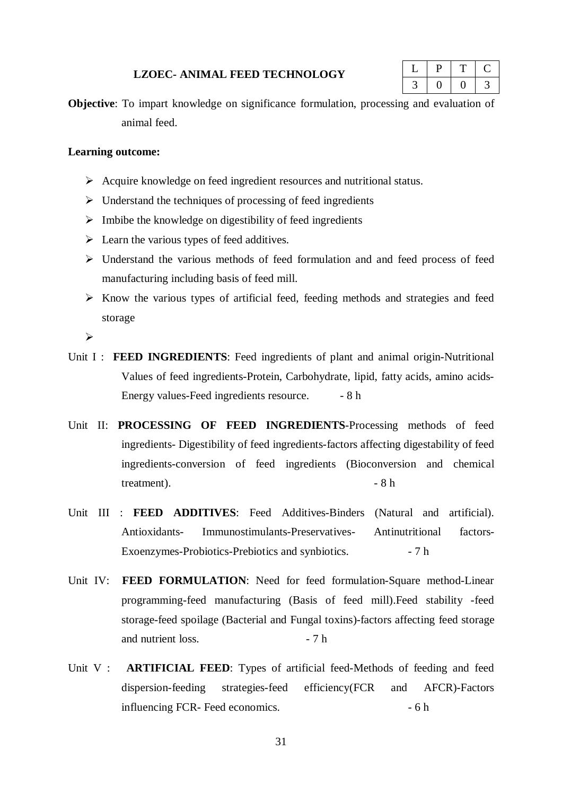#### **LZOEC- ANIMAL FEED TECHNOLOGY**

|  | - |  |
|--|---|--|
|  |   |  |

**Objective**: To impart knowledge on significance formulation, processing and evaluation of animal feed.

### **Learning outcome:**

- Acquire knowledge on feed ingredient resources and nutritional status.
- $\triangleright$  Understand the techniques of processing of feed ingredients
- $\triangleright$  Imbibe the knowledge on digestibility of feed ingredients
- $\triangleright$  Learn the various types of feed additives.
- $\triangleright$  Understand the various methods of feed formulation and and feed process of feed manufacturing including basis of feed mill.
- $\triangleright$  Know the various types of artificial feed, feeding methods and strategies and feed storage

 $\blacktriangleright$ 

- Unit I : **FEED INGREDIENTS**: Feed ingredients of plant and animal origin-Nutritional Values of feed ingredients-Protein, Carbohydrate, lipid, fatty acids, amino acids-Energy values-Feed ingredients resource. - 8 h
- Unit II: **PROCESSING OF FEED INGREDIENTS**-Processing methods of feed ingredients- Digestibility of feed ingredients-factors affecting digestability of feed ingredients-conversion of feed ingredients (Bioconversion and chemical  $treatment$ ).  $-8 h$
- Unit III : **FEED ADDITIVES**: Feed Additives-Binders (Natural and artificial). Antioxidants- Immunostimulants-Preservatives- Antinutritional factors-Exoenzymes-Probiotics-Prebiotics and synbiotics. - 7 h
- Unit IV: FEED FORMULATION: Need for feed formulation-Square method-Linear programming-feed manufacturing (Basis of feed mill).Feed stability -feed storage-feed spoilage (Bacterial and Fungal toxins)-factors affecting feed storage and nutrient loss.  $-7 h$
- Unit V : **ARTIFICIAL FEED**: Types of artificial feed-Methods of feeding and feed dispersion-feeding strategies-feed efficiency(FCR and AFCR)-Factors influencing FCR- Feed economics. - 6 h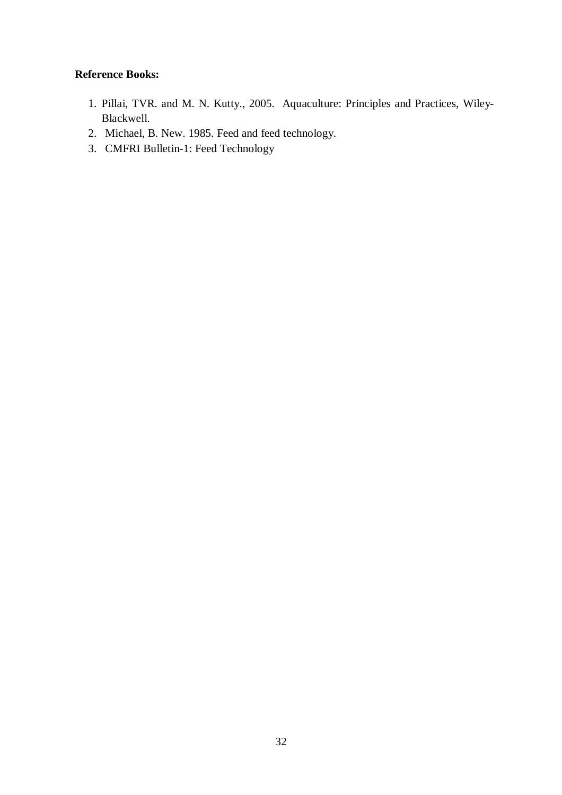## **Reference Books:**

- 1. Pillai, TVR. and M. N. Kutty., 2005. Aquaculture: Principles and Practices, Wiley-Blackwell.
- 2. Michael, B. New. 1985. Feed and feed technology.
- 3. CMFRI Bulletin-1: Feed Technology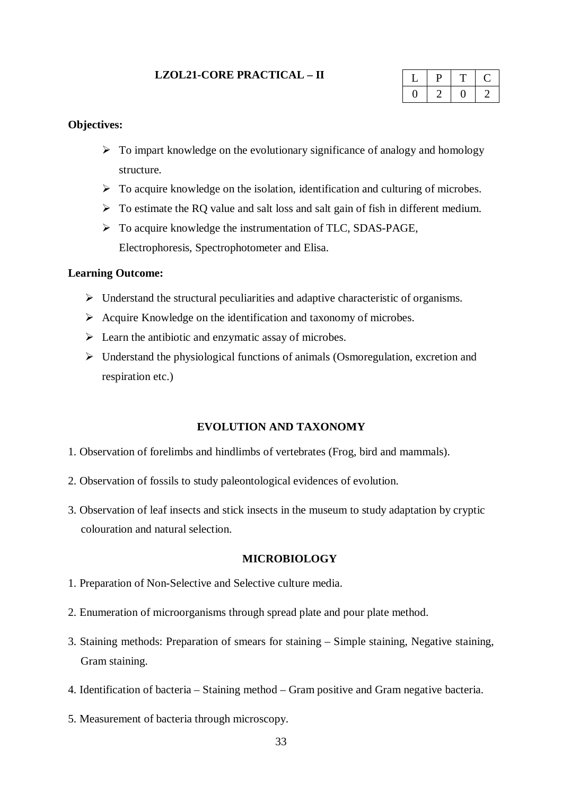## **LZOL21-CORE PRACTICAL – II**

### **Objectives:**

- $\triangleright$  To impart knowledge on the evolutionary significance of analogy and homology structure.
- $\triangleright$  To acquire knowledge on the isolation, identification and culturing of microbes.
- $\triangleright$  To estimate the RQ value and salt loss and salt gain of fish in different medium.
- To acquire knowledge the instrumentation of TLC, SDAS-PAGE, Electrophoresis, Spectrophotometer and Elisa.

### **Learning Outcome:**

- $\triangleright$  Understand the structural peculiarities and adaptive characteristic of organisms.
- $\triangleright$  Acquire Knowledge on the identification and taxonomy of microbes.
- $\triangleright$  Learn the antibiotic and enzymatic assay of microbes.
- $\triangleright$  Understand the physiological functions of animals (Osmoregulation, excretion and respiration etc.)

## **EVOLUTION AND TAXONOMY**

- 1. Observation of forelimbs and hindlimbs of vertebrates (Frog, bird and mammals).
- 2. Observation of fossils to study paleontological evidences of evolution.
- 3. Observation of leaf insects and stick insects in the museum to study adaptation by cryptic colouration and natural selection.

#### **MICROBIOLOGY**

- 1. Preparation of Non-Selective and Selective culture media.
- 2. Enumeration of microorganisms through spread plate and pour plate method.
- 3. Staining methods: Preparation of smears for staining Simple staining, Negative staining, Gram staining.
- 4. Identification of bacteria Staining method Gram positive and Gram negative bacteria.
- 5. Measurement of bacteria through microscopy.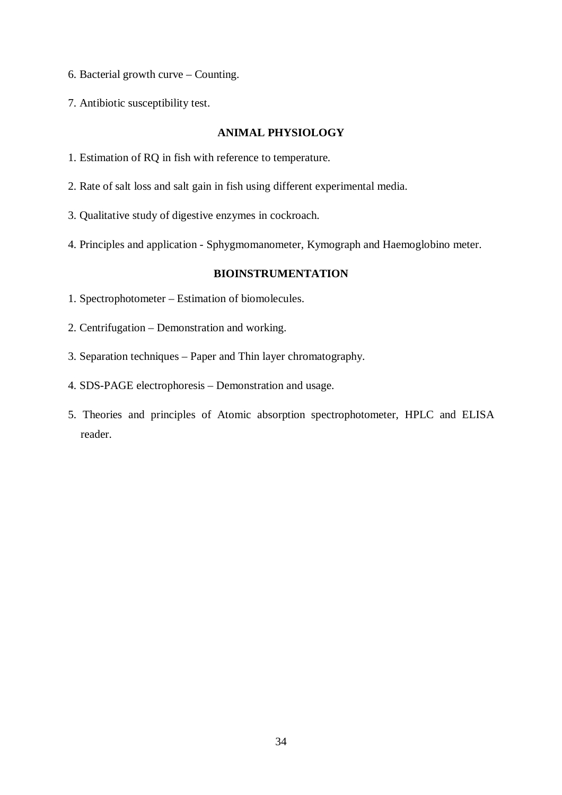- 6. Bacterial growth curve Counting.
- 7. Antibiotic susceptibility test.

### **ANIMAL PHYSIOLOGY**

- 1. Estimation of RQ in fish with reference to temperature.
- 2. Rate of salt loss and salt gain in fish using different experimental media.
- 3. Qualitative study of digestive enzymes in cockroach.
- 4. Principles and application Sphygmomanometer, Kymograph and Haemoglobino meter.

## **BIOINSTRUMENTATION**

- 1. Spectrophotometer Estimation of biomolecules.
- 2. Centrifugation Demonstration and working.
- 3. Separation techniques Paper and Thin layer chromatography.
- 4. SDS-PAGE electrophoresis Demonstration and usage.
- 5. Theories and principles of Atomic absorption spectrophotometer, HPLC and ELISA reader.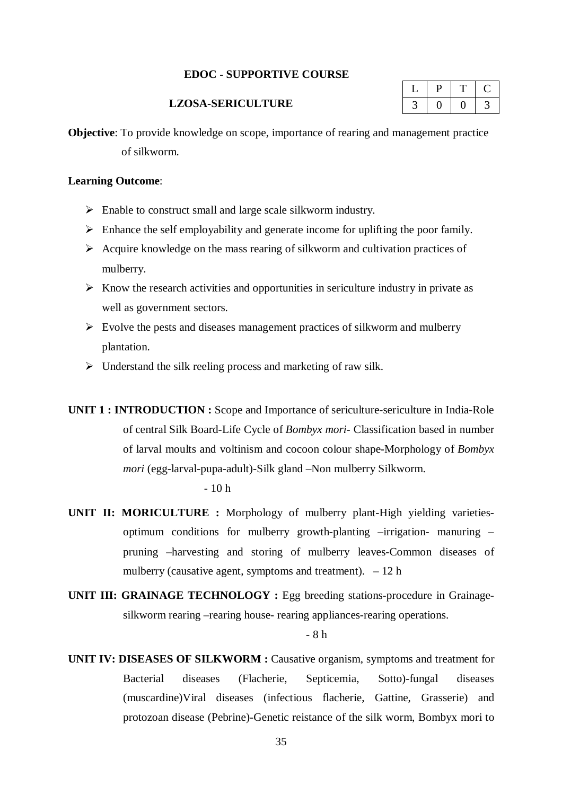### **EDOC - SUPPORTIVE COURSE**

#### **LZOSA-SERICULTURE**

**Objective**: To provide knowledge on scope, importance of rearing and management practice of silkworm.

## **Learning Outcome**:

- $\triangleright$  Enable to construct small and large scale silkworm industry.
- $\triangleright$  Enhance the self employability and generate income for uplifting the poor family.
- $\triangleright$  Acquire knowledge on the mass rearing of silkworm and cultivation practices of mulberry.
- $\triangleright$  Know the research activities and opportunities in sericulture industry in private as well as government sectors.
- $\triangleright$  Evolve the pests and diseases management practices of silkworm and mulberry plantation.
- $\triangleright$  Understand the silk reeling process and marketing of raw silk.
- **UNIT 1 : INTRODUCTION :** Scope and Importance of sericulture-sericulture in India-Role of central Silk Board-Life Cycle of *Bombyx mori-* Classification based in number of larval moults and voltinism and cocoon colour shape-Morphology of *Bombyx mori* (egg-larval-pupa-adult)-Silk gland –Non mulberry Silkworm.

#### $-10<sub>h</sub>$

- **UNIT II: MORICULTURE :** Morphology of mulberry plant-High yielding varietiesoptimum conditions for mulberry growth-planting –irrigation- manuring – pruning –harvesting and storing of mulberry leaves-Common diseases of mulberry (causative agent, symptoms and treatment).  $-12 h$
- **UNIT III: GRAINAGE TECHNOLOGY :** Egg breeding stations-procedure in Grainagesilkworm rearing –rearing house- rearing appliances-rearing operations.

## - 8 h

**UNIT IV: DISEASES OF SILKWORM :** Causative organism, symptoms and treatment for Bacterial diseases (Flacherie, Septicemia, Sotto)-fungal diseases (muscardine)Viral diseases (infectious flacherie, Gattine, Grasserie) and protozoan disease (Pebrine)-Genetic reistance of the silk worm, Bombyx mori to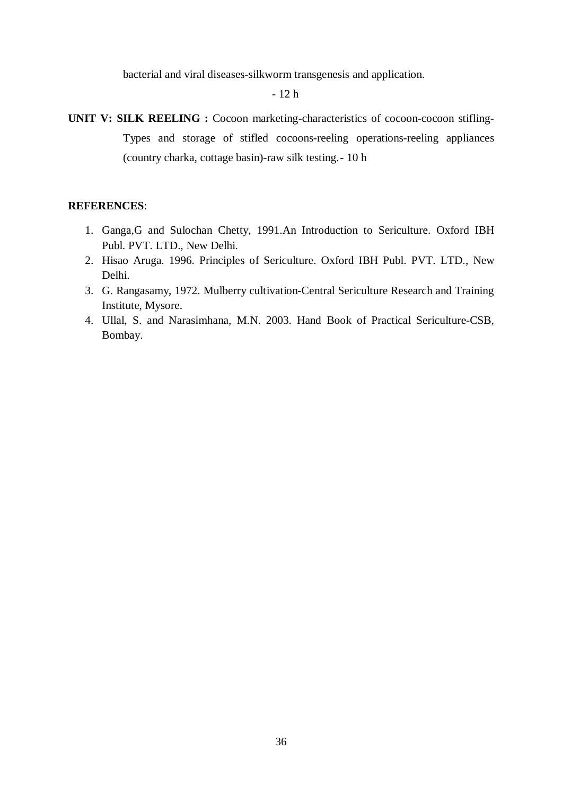bacterial and viral diseases-silkworm transgenesis and application.

- 12 h

**UNIT V: SILK REELING :** Cocoon marketing-characteristics of cocoon-cocoon stifling-Types and storage of stifled cocoons-reeling operations-reeling appliances (country charka, cottage basin)-raw silk testing.- 10 h

## **REFERENCES**:

- 1. Ganga,G and Sulochan Chetty, 1991.An Introduction to Sericulture. Oxford IBH Publ. PVT. LTD., New Delhi.
- 2. Hisao Aruga. 1996. Principles of Sericulture. Oxford IBH Publ. PVT. LTD., New Delhi.
- 3. G. Rangasamy, 1972. Mulberry cultivation-Central Sericulture Research and Training Institute, Mysore.
- 4. Ullal, S. and Narasimhana, M.N. 2003. Hand Book of Practical Sericulture-CSB, Bombay.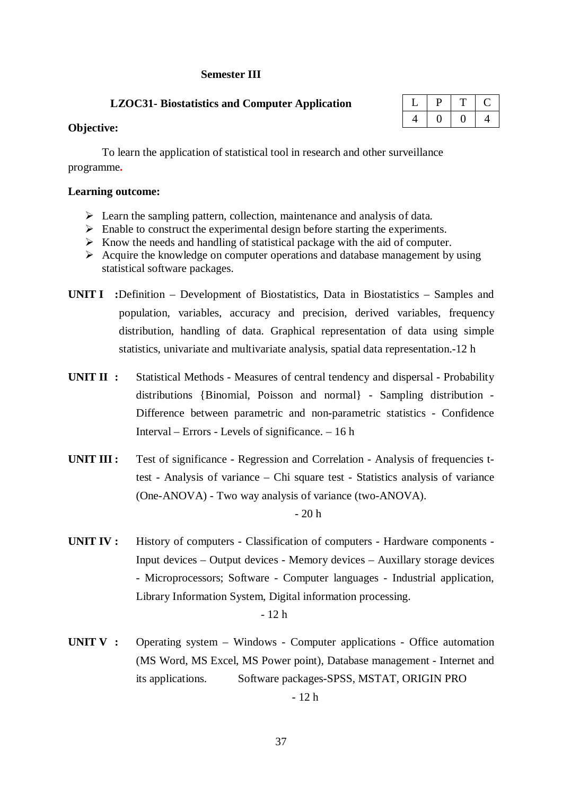## **Semester III**

## **LZOC31- Biostatistics and Computer Application**

## **Objective:**

To learn the application of statistical tool in research and other surveillance programme**.**

## **Learning outcome:**

- $\triangleright$  Learn the sampling pattern, collection, maintenance and analysis of data.
- $\triangleright$  Enable to construct the experimental design before starting the experiments.
- $\triangleright$  Know the needs and handling of statistical package with the aid of computer.
- $\triangleright$  Acquire the knowledge on computer operations and database management by using statistical software packages.
- **UNIT I :**Definition Development of Biostatistics, Data in Biostatistics Samples and population, variables, accuracy and precision, derived variables, frequency distribution, handling of data. Graphical representation of data using simple statistics, univariate and multivariate analysis, spatial data representation.-12 h
- **UNIT II** : Statistical Methods Measures of central tendency and dispersal Probability distributions {Binomial, Poisson and normal} - Sampling distribution - Difference between parametric and non-parametric statistics - Confidence Interval – Errors - Levels of significance. – 16 h
- **UNIT III :** Test of significance Regression and Correlation Analysis of frequencies ttest - Analysis of variance – Chi square test - Statistics analysis of variance (One-ANOVA) - Two way analysis of variance (two-ANOVA).

 $-20h$ 

**UNIT IV :** History of computers - Classification of computers - Hardware components - Input devices – Output devices - Memory devices – Auxillary storage devices - Microprocessors; Software - Computer languages - Industrial application, Library Information System, Digital information processing.

- 12 h

**UNIT V :** Operating system – Windows - Computer applications - Office automation (MS Word, MS Excel, MS Power point), Database management - Internet and its applications. Software packages-SPSS, MSTAT, ORIGIN PRO

- 12 h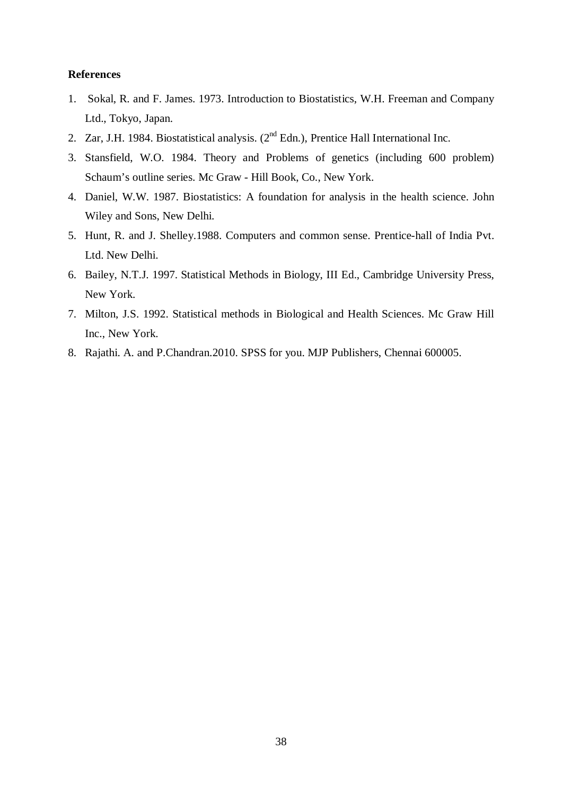#### **References**

- 1. Sokal, R. and F. James. 1973. Introduction to Biostatistics, W.H. Freeman and Company Ltd., Tokyo, Japan.
- 2. Zar, J.H. 1984. Biostatistical analysis. (2<sup>nd</sup> Edn.), Prentice Hall International Inc.
- 3. Stansfield, W.O. 1984. Theory and Problems of genetics (including 600 problem) Schaum's outline series. Mc Graw - Hill Book, Co., New York.
- 4. Daniel, W.W. 1987. Biostatistics: A foundation for analysis in the health science. John Wiley and Sons, New Delhi.
- 5. Hunt, R. and J. Shelley.1988. Computers and common sense. Prentice-hall of India Pvt. Ltd. New Delhi.
- 6. Bailey, N.T.J. 1997. Statistical Methods in Biology, III Ed., Cambridge University Press, New York.
- 7. Milton, J.S. 1992. Statistical methods in Biological and Health Sciences. Mc Graw Hill Inc., New York.
- 8. Rajathi. A. and P.Chandran.2010. SPSS for you. MJP Publishers, Chennai 600005.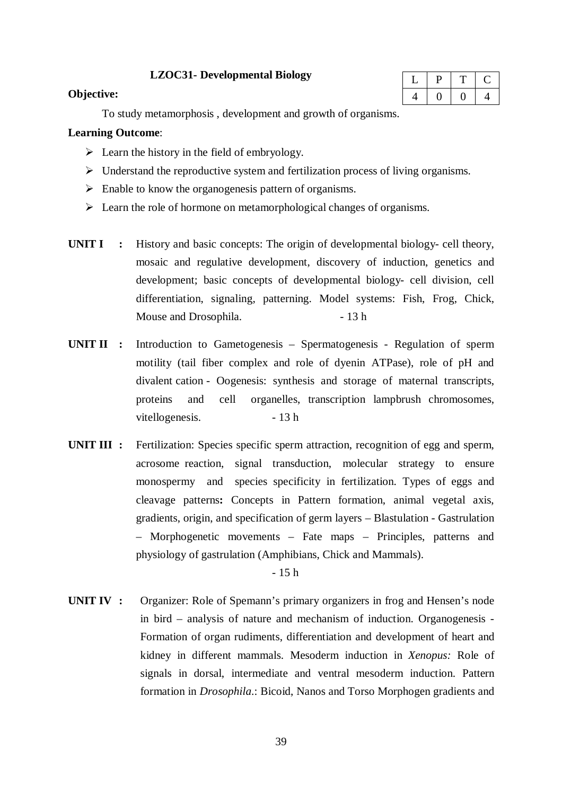## **LZOC31- Developmental Biology**

### **Objective:**

To study metamorphosis , development and growth of organisms.

## **Learning Outcome**:

- $\triangleright$  Learn the history in the field of embryology.
- $\triangleright$  Understand the reproductive system and fertilization process of living organisms.
- $\triangleright$  Enable to know the organogenesis pattern of organisms.
- $\triangleright$  Learn the role of hormone on metamorphological changes of organisms.
- **UNIT I :** History and basic concepts: The origin of developmental biology- cell theory, mosaic and regulative development, discovery of induction, genetics and development; basic concepts of developmental biology- cell division, cell differentiation, signaling, patterning. Model systems: Fish, Frog, Chick, Mouse and Drosophila. - 13 h
- **UNIT II :** Introduction to Gametogenesis Spermatogenesis Regulation of sperm motility (tail fiber complex and role of dyenin ATPase), role of pH and divalent cation - Oogenesis: synthesis and storage of maternal transcripts, proteins and cell organelles, transcription lampbrush chromosomes, vitellogenesis. - 13 h
- **UNIT III** : Fertilization: Species specific sperm attraction, recognition of egg and sperm, acrosome reaction, signal transduction, molecular strategy to ensure monospermy and species specificity in fertilization. Types of eggs and cleavage patterns**:** Concepts in Pattern formation, animal vegetal axis, gradients, origin, and specification of germ layers – Blastulation - Gastrulation – Morphogenetic movements – Fate maps – Principles, patterns and physiology of gastrulation (Amphibians, Chick and Mammals).

- 15 h

**UNIT IV :** Organizer: Role of Spemann's primary organizers in frog and Hensen's node in bird – analysis of nature and mechanism of induction. Organogenesis - Formation of organ rudiments, differentiation and development of heart and kidney in different mammals. Mesoderm induction in *Xenopus:* Role of signals in dorsal, intermediate and ventral mesoderm induction. Pattern formation in *Drosophila*.: Bicoid, Nanos and Torso Morphogen gradients and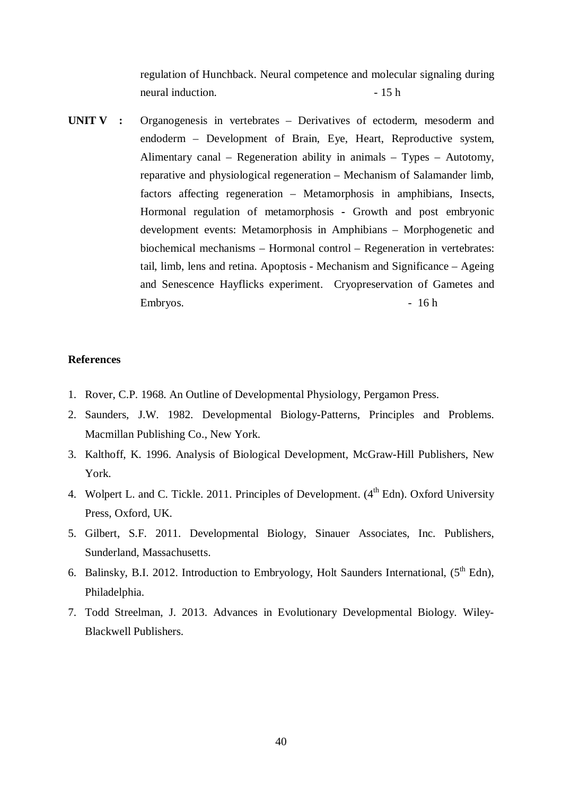regulation of Hunchback. Neural competence and molecular signaling during neural induction.  $-15 h$ 

**UNIT V :** Organogenesis in vertebrates – Derivatives of ectoderm, mesoderm and endoderm – Development of Brain, Eye, Heart, Reproductive system, Alimentary canal – Regeneration ability in animals – Types – Autotomy, reparative and physiological regeneration – Mechanism of Salamander limb, factors affecting regeneration – Metamorphosis in amphibians, Insects, Hormonal regulation of metamorphosis **-** Growth and post embryonic development events: Metamorphosis in Amphibians – Morphogenetic and biochemical mechanisms – Hormonal control – Regeneration in vertebrates: tail, limb, lens and retina. Apoptosis - Mechanism and Significance – Ageing and Senescence Hayflicks experiment. Cryopreservation of Gametes and Embryos. - 16 h

#### **References**

- 1. Rover, C.P. 1968. An Outline of Developmental Physiology, Pergamon Press.
- 2. Saunders, J.W. 1982. Developmental Biology-Patterns, Principles and Problems. Macmillan Publishing Co., New York.
- 3. Kalthoff, K. 1996. Analysis of Biological Development, McGraw-Hill Publishers, New York.
- 4. Wolpert L. and C. Tickle. 2011. Principles of Development. (4<sup>th</sup> Edn). Oxford University Press, Oxford, UK.
- 5. Gilbert, S.F. 2011. Developmental Biology, Sinauer Associates, Inc. Publishers, Sunderland, Massachusetts.
- 6. Balinsky, B.I. 2012. Introduction to Embryology, Holt Saunders International,  $(5^{th}$  Edn), Philadelphia.
- 7. Todd Streelman, J. 2013. Advances in Evolutionary Developmental Biology. Wiley-Blackwell Publishers.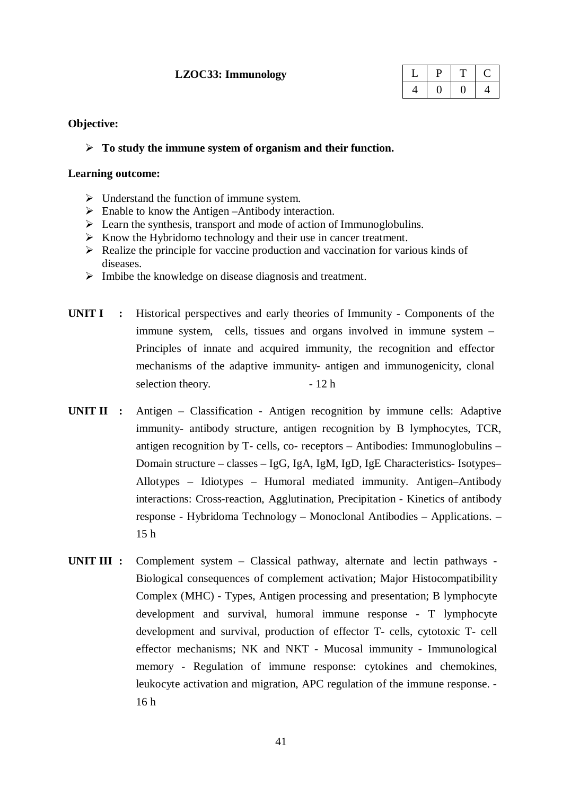## **LZOC33: Immunology**

## **Objective:**

## **To study the immune system of organism and their function.**

## **Learning outcome:**

- $\triangleright$  Understand the function of immune system.
- $\triangleright$  Enable to know the Antigen –Antibody interaction.
- $\triangleright$  Learn the synthesis, transport and mode of action of Immunoglobulins.
- $\triangleright$  Know the Hybridomo technology and their use in cancer treatment.
- $\triangleright$  Realize the principle for vaccine production and vaccination for various kinds of diseases.
- $\triangleright$  Imbibe the knowledge on disease diagnosis and treatment.
- **UNIT I :** Historical perspectives and early theories of Immunity Components of the immune system, cells, tissues and organs involved in immune system – Principles of innate and acquired immunity, the recognition and effector mechanisms of the adaptive immunity- antigen and immunogenicity, clonal selection theory.  $-12 h$
- **UNIT II** : Antigen Classification Antigen recognition by immune cells: Adaptive immunity- antibody structure, antigen recognition by B lymphocytes, TCR, antigen recognition by T- cells, co- receptors – Antibodies: Immunoglobulins – Domain structure – classes – IgG, IgA, IgM, IgD, IgE Characteristics- Isotypes– Allotypes – Idiotypes – Humoral mediated immunity. Antigen–Antibody interactions: Cross-reaction, Agglutination, Precipitation - Kinetics of antibody response - Hybridoma Technology – Monoclonal Antibodies – Applications. – 15 h
- **UNIT III :** Complement system Classical pathway, alternate and lectin pathways Biological consequences of complement activation; Major Histocompatibility Complex (MHC) - Types, Antigen processing and presentation; B lymphocyte development and survival, humoral immune response - T lymphocyte development and survival, production of effector T- cells, cytotoxic T- cell effector mechanisms; NK and NKT - Mucosal immunity - Immunological memory - Regulation of immune response: cytokines and chemokines, leukocyte activation and migration, APC regulation of the immune response. - 16 h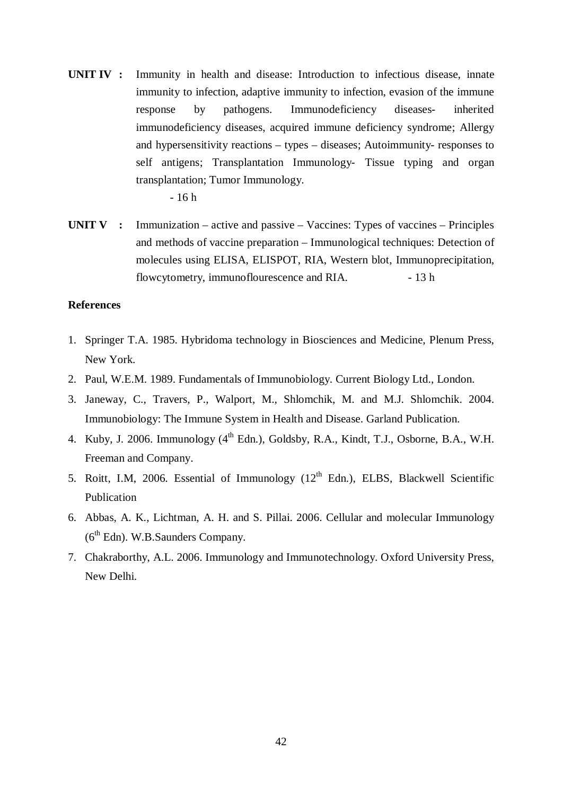**UNIT IV :** Immunity in health and disease: Introduction to infectious disease, innate immunity to infection, adaptive immunity to infection, evasion of the immune response by pathogens. Immunodeficiency diseases- inherited immunodeficiency diseases, acquired immune deficiency syndrome; Allergy and hypersensitivity reactions – types – diseases; Autoimmunity- responses to self antigens; Transplantation Immunology- Tissue typing and organ transplantation; Tumor Immunology.

- 16 h

**UNIT V :** Immunization – active and passive – Vaccines: Types of vaccines – Principles and methods of vaccine preparation – Immunological techniques: Detection of molecules using ELISA, ELISPOT, RIA, Western blot, Immunoprecipitation, flowcytometry, immunoflourescence and RIA. - 13 h

### **References**

- 1. Springer T.A. 1985. Hybridoma technology in Biosciences and Medicine, Plenum Press, New York.
- 2. Paul, W.E.M. 1989. Fundamentals of Immunobiology. Current Biology Ltd., London.
- 3. Janeway, C., Travers, P., Walport, M., Shlomchik, M. and M.J. Shlomchik. 2004. Immunobiology: The Immune System in Health and Disease. Garland Publication.
- 4. Kuby, J. 2006. Immunology (4<sup>th</sup> Edn.), Goldsby, R.A., Kindt, T.J., Osborne, B.A., W.H. Freeman and Company.
- 5. Roitt, I.M, 2006. Essential of Immunology  $(12<sup>th</sup>$  Edn.), ELBS, Blackwell Scientific Publication
- 6. Abbas, A. K., Lichtman, A. H. and S. Pillai. 2006. Cellular and molecular Immunology (6<sup>th</sup> Edn). W.B.Saunders Company.
- 7. Chakraborthy, A.L. 2006. Immunology and Immunotechnology. Oxford University Press, New Delhi.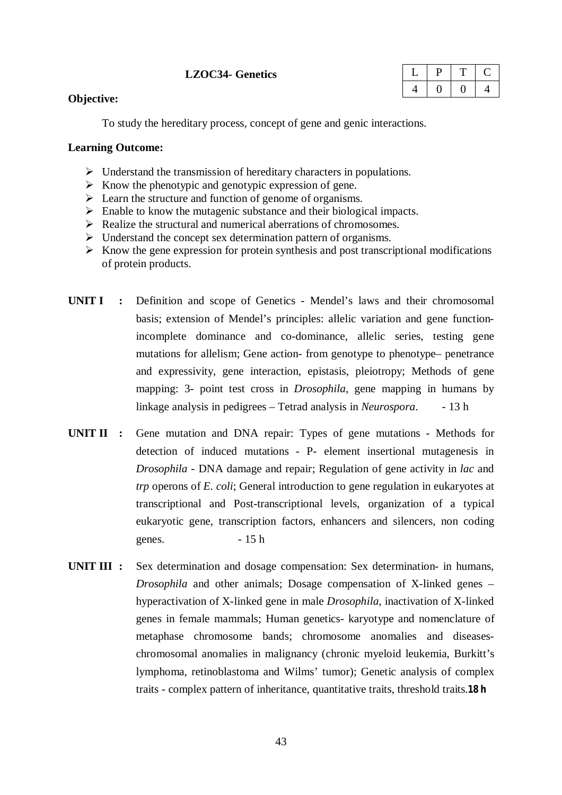## **LZOC34- Genetics**

|  | - |  |
|--|---|--|
|  |   |  |

## **Objective:**

To study the hereditary process, concept of gene and genic interactions.

## **Learning Outcome:**

- $\triangleright$  Understand the transmission of hereditary characters in populations.
- $\triangleright$  Know the phenotypic and genotypic expression of gene.
- Exercise 2 Learn the structure and function of genome of organisms.
- $\triangleright$  Enable to know the mutagenic substance and their biological impacts.
- $\triangleright$  Realize the structural and numerical aberrations of chromosomes.
- $\triangleright$  Understand the concept sex determination pattern of organisms.
- $\triangleright$  Know the gene expression for protein synthesis and post transcriptional modifications of protein products.
- **UNIT I :** Definition and scope of Genetics Mendel's laws and their chromosomal basis; extension of Mendel's principles: allelic variation and gene functionincomplete dominance and co-dominance, allelic series, testing gene mutations for allelism; Gene action- from genotype to phenotype– penetrance and expressivity, gene interaction, epistasis, pleiotropy; Methods of gene mapping: 3- point test cross in *Drosophila*, gene mapping in humans by linkage analysis in pedigrees – Tetrad analysis in *Neurospora*. - 13 h
- **UNIT II :** Gene mutation and DNA repair: Types of gene mutations Methods for detection of induced mutations - P- element insertional mutagenesis in *Drosophila* - DNA damage and repair; Regulation of gene activity in *lac* and *trp* operons of *E. coli*; General introduction to gene regulation in eukaryotes at transcriptional and Post-transcriptional levels, organization of a typical eukaryotic gene, transcription factors, enhancers and silencers, non coding genes.  $-15 h$
- **UNIT III :** Sex determination and dosage compensation: Sex determination- in humans, *Drosophila* and other animals; Dosage compensation of X-linked genes – hyperactivation of X-linked gene in male *Drosophila*, inactivation of X-linked genes in female mammals; Human genetics- karyotype and nomenclature of metaphase chromosome bands; chromosome anomalies and diseaseschromosomal anomalies in malignancy (chronic myeloid leukemia, Burkitt's lymphoma, retinoblastoma and Wilms' tumor); Genetic analysis of complex traits - complex pattern of inheritance, quantitative traits, threshold traits.**18 h**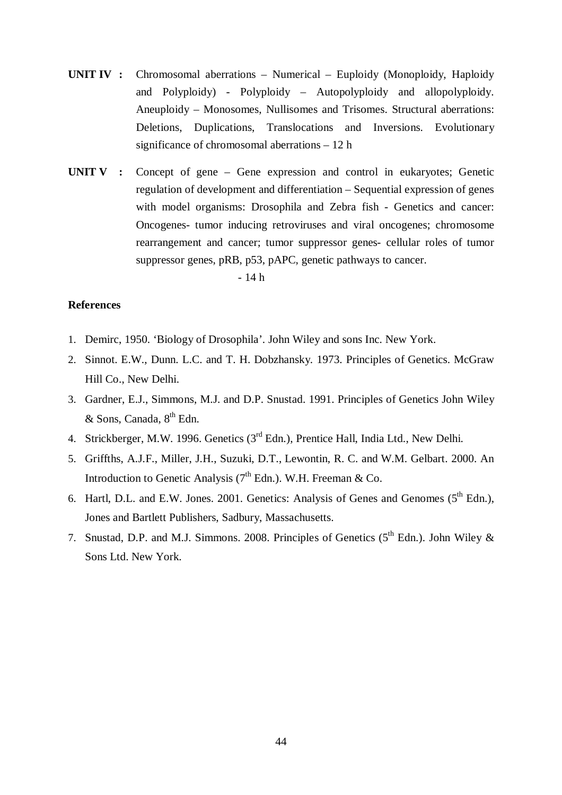- **UNIT IV :** Chromosomal aberrations Numerical Euploidy (Monoploidy, Haploidy and Polyploidy) - Polyploidy – Autopolyploidy and allopolyploidy. Aneuploidy – Monosomes, Nullisomes and Trisomes. Structural aberrations: Deletions, Duplications, Translocations and Inversions. Evolutionary significance of chromosomal aberrations – 12 h
- **UNIT V :** Concept of gene Gene expression and control in eukaryotes; Genetic regulation of development and differentiation – Sequential expression of genes with model organisms: Drosophila and Zebra fish - Genetics and cancer: Oncogenes- tumor inducing retroviruses and viral oncogenes; chromosome rearrangement and cancer; tumor suppressor genes- cellular roles of tumor suppressor genes, pRB, p53, pAPC, genetic pathways to cancer.

## - 14 h

## **References**

- 1. Demirc, 1950. 'Biology of Drosophila'. John Wiley and sons Inc. New York.
- 2. Sinnot. E.W., Dunn. L.C. and T. H. Dobzhansky. 1973. Principles of Genetics. McGraw Hill Co., New Delhi.
- 3. Gardner, E.J., Simmons, M.J. and D.P. Snustad. 1991. Principles of Genetics John Wiley  $&$  Sons, Canada,  $8<sup>th</sup>$  Edn.
- 4. Strickberger, M.W. 1996. Genetics (3<sup>rd</sup> Edn.), Prentice Hall, India Ltd., New Delhi.
- 5. Griffths, A.J.F., Miller, J.H., Suzuki, D.T., Lewontin, R. C. and W.M. Gelbart. 2000. An Introduction to Genetic Analysis ( $7<sup>th</sup>$  Edn.). W.H. Freeman & Co.
- 6. Hartl, D.L. and E.W. Jones. 2001. Genetics: Analysis of Genes and Genomes  $(5^{th}$  Edn.), Jones and Bartlett Publishers, Sadbury, Massachusetts.
- 7. Snustad, D.P. and M.J. Simmons. 2008. Principles of Genetics  $(5^{th}$  Edn.). John Wiley & Sons Ltd. New York.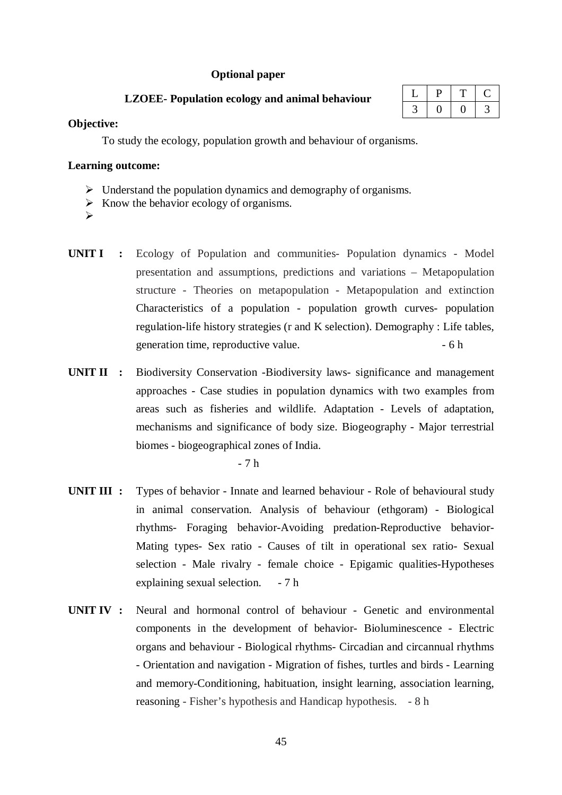### **Optional paper**

## **LZOEE- Population ecology and animal behaviour**

| . . |  |  |
|-----|--|--|
|     |  |  |

### **Objective:**

To study the ecology, population growth and behaviour of organisms.

### **Learning outcome:**

- $\triangleright$  Understand the population dynamics and demography of organisms.
- $\triangleright$  Know the behavior ecology of organisms.
- $\blacktriangleright$
- **UNIT I :** Ecology of Population and communities- Population dynamics Model presentation and assumptions, predictions and variations – Metapopulation structure - Theories on metapopulation - Metapopulation and extinction Characteristics of a population - population growth curves- population regulation-life history strategies (r and K selection). Demography : Life tables, generation time, reproductive value.  $-6 h$
- **UNIT II** : Biodiversity Conservation -Biodiversity laws- significance and management approaches - Case studies in population dynamics with two examples from areas such as fisheries and wildlife. Adaptation - Levels of adaptation, mechanisms and significance of body size. Biogeography - Major terrestrial biomes - biogeographical zones of India.

- 7 h

- **UNIT III :** Types of behavior Innate and learned behaviour Role of behavioural study in animal conservation. Analysis of behaviour (ethgoram) - Biological rhythms- Foraging behavior-Avoiding predation-Reproductive behavior-Mating types- Sex ratio - Causes of tilt in operational sex ratio- Sexual selection - Male rivalry - female choice - Epigamic qualities-Hypotheses explaining sexual selection. - 7 h
- **UNIT IV :** Neural and hormonal control of behaviour Genetic and environmental components in the development of behavior- Bioluminescence - Electric organs and behaviour - Biological rhythms- Circadian and circannual rhythms - Orientation and navigation - Migration of fishes, turtles and birds - Learning and memory-Conditioning, habituation, insight learning, association learning, reasoning - Fisher's hypothesis and Handicap hypothesis. - 8 h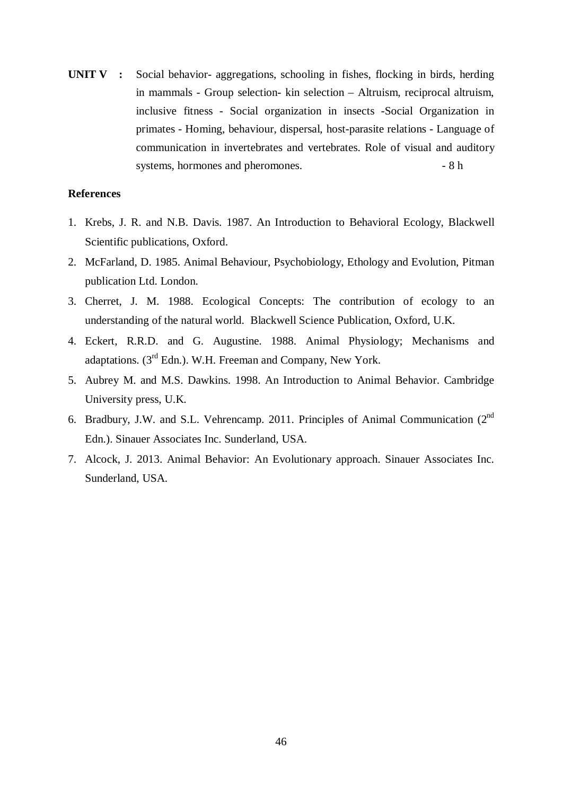**UNIT V :** Social behavior- aggregations, schooling in fishes, flocking in birds, herding in mammals - Group selection- kin selection – Altruism, reciprocal altruism, inclusive fitness - Social organization in insects -Social Organization in primates - Homing, behaviour, dispersal, host-parasite relations - Language of communication in invertebrates and vertebrates. Role of visual and auditory systems, hormones and pheromones. - 8 h

## **References**

- 1. Krebs, J. R. and N.B. Davis. 1987. An Introduction to Behavioral Ecology, Blackwell Scientific publications, Oxford.
- 2. McFarland, D. 1985. Animal Behaviour, Psychobiology, Ethology and Evolution, Pitman publication Ltd. London.
- 3. Cherret, J. M. 1988. Ecological Concepts: The contribution of ecology to an understanding of the natural world. Blackwell Science Publication, Oxford, U.K.
- 4. Eckert, R.R.D. and G. Augustine. 1988. Animal Physiology; Mechanisms and adaptations. (3rd Edn.). W.H. Freeman and Company, New York.
- 5. Aubrey M. and M.S. Dawkins. 1998. An Introduction to Animal Behavior. Cambridge University press, U.K.
- 6. Bradbury, J.W. and S.L. Vehrencamp. 2011. Principles of Animal Communication (2nd Edn.). Sinauer Associates Inc. Sunderland, USA.
- 7. Alcock, J. 2013. Animal Behavior: An Evolutionary approach. Sinauer Associates Inc. Sunderland, USA.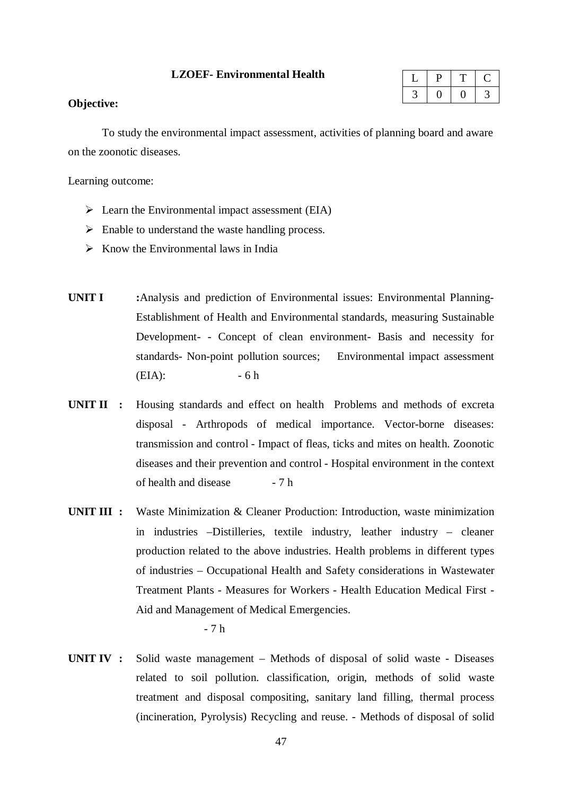#### **LZOEF- Environmental Health**

## **Objective:**

To study the environmental impact assessment, activities of planning board and aware on the zoonotic diseases.

Learning outcome:

- $\triangleright$  Learn the Environmental impact assessment (EIA)
- $\triangleright$  Enable to understand the waste handling process.
- $\triangleright$  Know the Environmental laws in India
- **UNIT I :**Analysis and prediction of Environmental issues: Environmental Planning-Establishment of Health and Environmental standards, measuring Sustainable Development- - Concept of clean environment- Basis and necessity for standards- Non-point pollution sources;Environmental impact assessment  $(EIA):$  - 6 h
- **UNIT II :** Housing standards and effect on health Problems and methods of excreta disposal - Arthropods of medical importance. Vector-borne diseases: transmission and control - Impact of fleas, ticks and mites on health. Zoonotic diseases and their prevention and control - Hospital environment in the context of health and disease  $-7 h$
- **UNIT III :** Waste Minimization & Cleaner Production: Introduction, waste minimization in industries –Distilleries, textile industry, leather industry – cleaner production related to the above industries. Health problems in different types of industries – Occupational Health and Safety considerations in Wastewater Treatment Plants - Measures for Workers - Health Education Medical First - Aid and Management of Medical Emergencies.

- 7 h

**UNIT IV :** Solid waste management – Methods of disposal of solid waste - Diseases related to soil pollution. classification, origin, methods of solid waste treatment and disposal compositing, sanitary land filling, thermal process (incineration, Pyrolysis) Recycling and reuse. - Methods of disposal of solid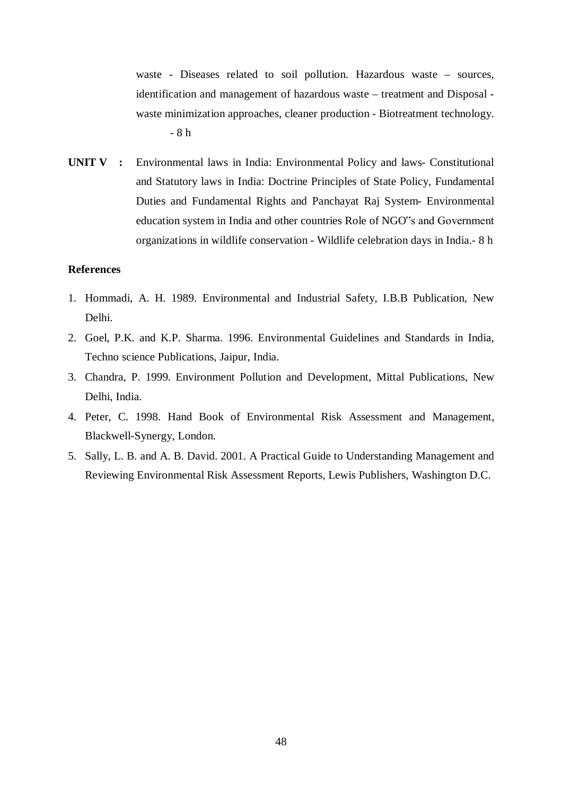waste - Diseases related to soil pollution. Hazardous waste – sources, identification and management of hazardous waste – treatment and Disposal waste minimization approaches, cleaner production - Biotreatment technology. - 8 h

**UNIT V :** Environmental laws in India: Environmental Policy and laws- Constitutional and Statutory laws in India: Doctrine Principles of State Policy, Fundamental Duties and Fundamental Rights and Panchayat Raj System- Environmental education system in India and other countries Role of NGO"s and Government organizations in wildlife conservation - Wildlife celebration days in India.- 8 h

#### **References**

- 1. Hommadi, A. H. 1989. Environmental and Industrial Safety, I.B.B Publication, New Delhi.
- 2. Goel, P.K. and K.P. Sharma. 1996. Environmental Guidelines and Standards in India, Techno science Publications, Jaipur, India.
- 3. Chandra, P. 1999. Environment Pollution and Development, Mittal Publications, New Delhi, India.
- 4. Peter, C. 1998. Hand Book of Environmental Risk Assessment and Management, Blackwell-Synergy, London.
- 5. Sally, L. B. and A. B. David. 2001. A Practical Guide to Understanding Management and Reviewing Environmental Risk Assessment Reports, Lewis Publishers, Washington D.C.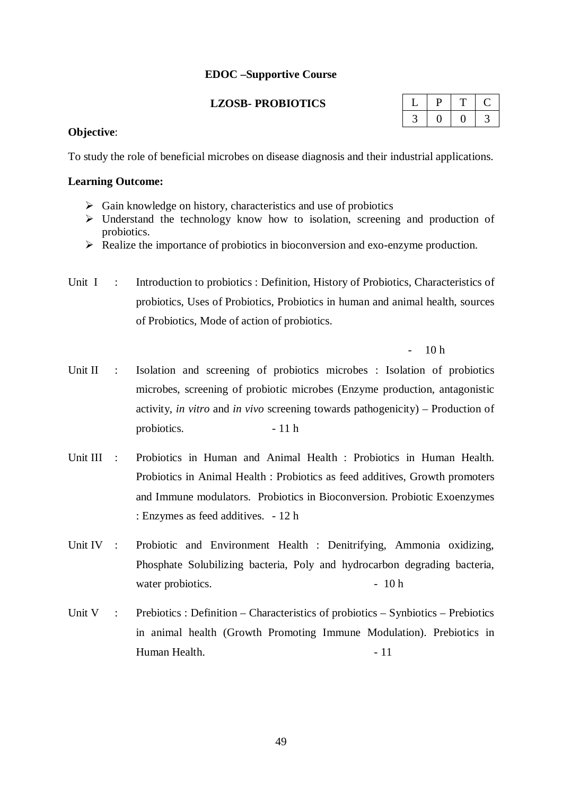## **EDOC –Supportive Course**

## **LZOSB- PROBIOTICS**

## **Objective**:

To study the role of beneficial microbes on disease diagnosis and their industrial applications.

## **Learning Outcome:**

- $\triangleright$  Gain knowledge on history, characteristics and use of probiotics
- $\triangleright$  Understand the technology know how to isolation, screening and production of probiotics.
- $\triangleright$  Realize the importance of probiotics in bioconversion and exo-enzyme production.
- Unit I : Introduction to probiotics : Definition, History of Probiotics, Characteristics of probiotics, Uses of Probiotics, Probiotics in human and animal health, sources of Probiotics, Mode of action of probiotics.

 $10<sub>h</sub>$ 

- Unit II : Isolation and screening of probiotics microbes : Isolation of probiotics microbes, screening of probiotic microbes (Enzyme production, antagonistic activity, *in vitro* and *in vivo* screening towards pathogenicity) – Production of probiotics. - 11 h
- Unit III : Probiotics in Human and Animal Health : Probiotics in Human Health. Probiotics in Animal Health : Probiotics as feed additives, Growth promoters and Immune modulators. Probiotics in Bioconversion. Probiotic Exoenzymes : Enzymes as feed additives. - 12 h
- Unit IV : Probiotic and Environment Health : Denitrifying, Ammonia oxidizing, Phosphate Solubilizing bacteria, Poly and hydrocarbon degrading bacteria, water probiotics.  $\sim$  10 h
- Unit V : Prebiotics : Definition Characteristics of probiotics Synbiotics Prebiotics in animal health (Growth Promoting Immune Modulation). Prebiotics in Human Health. **- 11**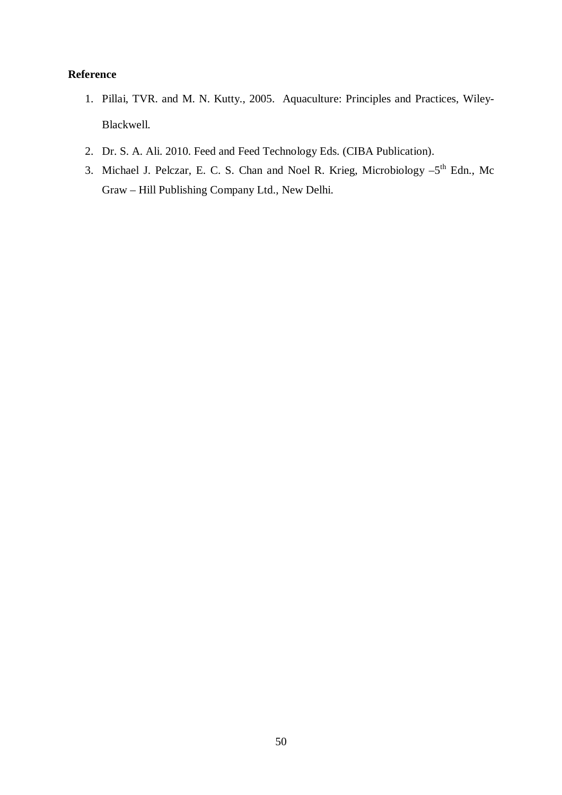# **Reference**

- 1. Pillai, TVR. and M. N. Kutty., 2005. Aquaculture: Principles and Practices, Wiley-Blackwell.
- 2. Dr. S. A. Ali. 2010. Feed and Feed Technology Eds. (CIBA Publication).
- 3. Michael J. Pelczar, E. C. S. Chan and Noel R. Krieg, Microbiology -5<sup>th</sup> Edn., Mc Graw – Hill Publishing Company Ltd., New Delhi.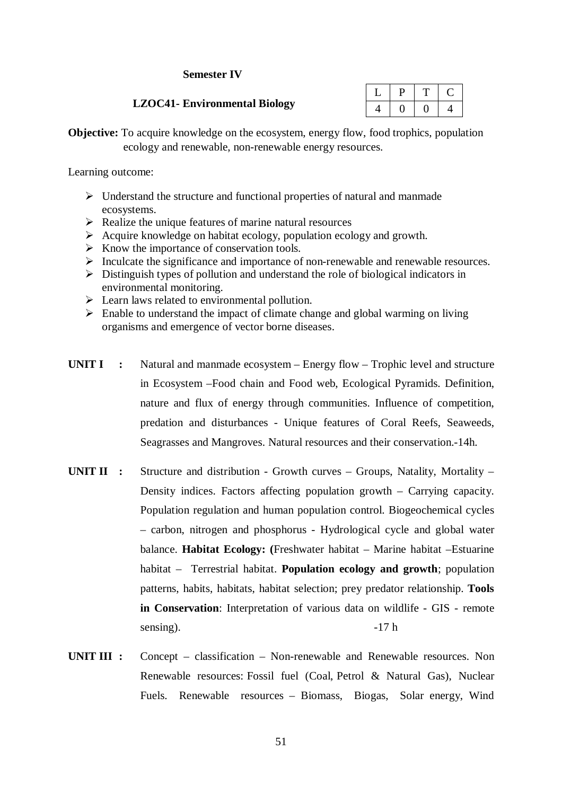## **Semester IV**

## **LZOC41- Environmental Biology**

**Objective:** To acquire knowledge on the ecosystem, energy flow, food trophics, population ecology and renewable, non-renewable energy resources.

Learning outcome:

- $\triangleright$  Understand the structure and functional properties of natural and manmade ecosystems.
- $\triangleright$  Realize the unique features of marine natural resources
- $\triangleright$  Acquire knowledge on habitat ecology, population ecology and growth.
- $\triangleright$  Know the importance of conservation tools.
- $\triangleright$  Inculcate the significance and importance of non-renewable and renewable resources.
- $\triangleright$  Distinguish types of pollution and understand the role of biological indicators in environmental monitoring.
- $\triangleright$  Learn laws related to environmental pollution.
- $\triangleright$  Enable to understand the impact of climate change and global warming on living organisms and emergence of vector borne diseases.
- **UNIT I :** Natural and manmade ecosystem Energy flow Trophic level and structure in Ecosystem –Food chain and Food web, Ecological Pyramids. Definition, nature and flux of energy through communities. Influence of competition, predation and disturbances - Unique features of Coral Reefs, Seaweeds, Seagrasses and Mangroves. Natural resources and their conservation.-14h.
- **UNIT II :** Structure and distribution Growth curves Groups, Natality, Mortality Density indices. Factors affecting population growth – Carrying capacity. Population regulation and human population control. Biogeochemical cycles – carbon, nitrogen and phosphorus - Hydrological cycle and global water balance. **Habitat Ecology: (**Freshwater habitat – Marine habitat –Estuarine habitat – Terrestrial habitat. **Population ecology and growth**; population patterns, habits, habitats, habitat selection; prey predator relationship. **Tools in Conservation**: Interpretation of various data on wildlife - GIS - remote sensing).  $-17 h$
- **UNIT III :** Concept classification Non-renewable and Renewable resources. Non Renewable resources: Fossil fuel (Coal, Petrol & Natural Gas), Nuclear Fuels. Renewable resources – Biomass, Biogas, Solar energy, Wind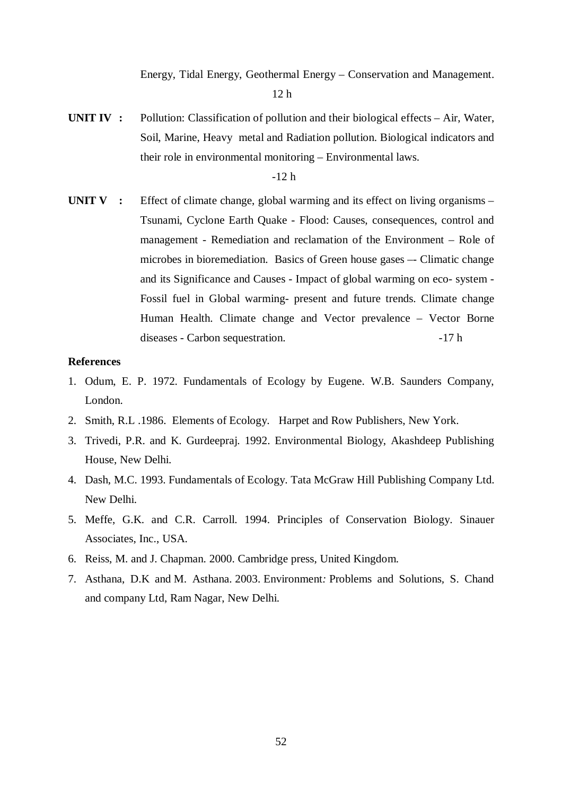Energy, Tidal Energy, Geothermal Energy – Conservation and Management.

12 h

**UNIT IV :** Pollution: Classification of pollution and their biological effects – Air, Water, Soil, Marine, Heavy metal and Radiation pollution. Biological indicators and their role in environmental monitoring – Environmental laws.

-12 h

**UNIT V** : Effect of climate change, global warming and its effect on living organisms – Tsunami, Cyclone Earth Quake - Flood: Causes, consequences, control and management - Remediation and reclamation of the Environment – Role of microbes in bioremediation. Basics of Green house gases –- Climatic change and its Significance and Causes - Impact of global warming on eco- system - Fossil fuel in Global warming- present and future trends. Climate change Human Health. Climate change and Vector prevalence – Vector Borne diseases - Carbon sequestration. -17 h

#### **References**

- 1. Odum, E. P. 1972. Fundamentals of Ecology by Eugene. W.B. Saunders Company, London.
- 2. Smith, R.L .1986. Elements of Ecology. Harpet and Row Publishers, New York.
- 3. Trivedi, P.R. and K. Gurdeepraj. 1992. Environmental Biology, Akashdeep Publishing House, New Delhi.
- 4. Dash, M.C. 1993. Fundamentals of Ecology. Tata McGraw Hill Publishing Company Ltd. New Delhi.
- 5. Meffe, G.K. and C.R. Carroll. 1994. Principles of Conservation Biology. Sinauer Associates, Inc., USA.
- 6. Reiss, M. and J. Chapman. 2000. Cambridge press, United Kingdom.
- 7. Asthana, D.K and M. Asthana. 2003. Environment*:* Problems and Solutions*,* S. Chand and company Ltd, Ram Nagar, New Delhi.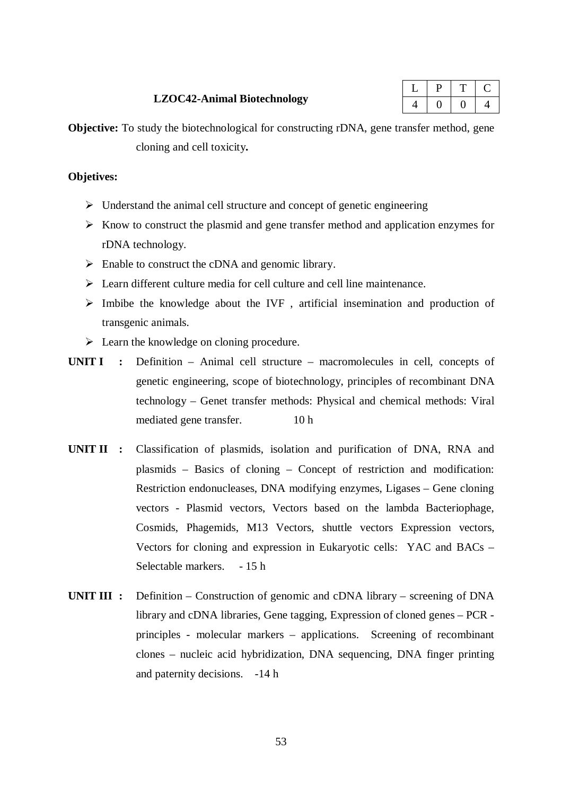#### **LZOC42-Animal Biotechnology**

|  | _ |  |
|--|---|--|
|  |   |  |

**Objective:** To study the biotechnological for constructing rDNA, gene transfer method, gene cloning and cell toxicity**.**

## **Objetives:**

- $\triangleright$  Understand the animal cell structure and concept of genetic engineering
- $\triangleright$  Know to construct the plasmid and gene transfer method and application enzymes for rDNA technology.
- $\triangleright$  Enable to construct the cDNA and genomic library.
- Learn different culture media for cell culture and cell line maintenance.
- $\triangleright$  Imbibe the knowledge about the IVF, artificial insemination and production of transgenic animals.
- $\triangleright$  Learn the knowledge on cloning procedure.
- **UNIT I :** Definition Animal cell structure macromolecules in cell, concepts of genetic engineering, scope of biotechnology, principles of recombinant DNA technology – Genet transfer methods: Physical and chemical methods: Viral mediated gene transfer. 10 h
- **UNIT II :** Classification of plasmids, isolation and purification of DNA, RNA and plasmids – Basics of cloning – Concept of restriction and modification: Restriction endonucleases, DNA modifying enzymes, Ligases – Gene cloning vectors - Plasmid vectors, Vectors based on the lambda Bacteriophage, Cosmids, Phagemids, M13 Vectors, shuttle vectors Expression vectors, Vectors for cloning and expression in Eukaryotic cells: YAC and BACs – Selectable markers. - 15 h
- **UNIT III :** Definition Construction of genomic and cDNA library screening of DNA library and cDNA libraries, Gene tagging, Expression of cloned genes – PCR principles - molecular markers – applications. Screening of recombinant clones – nucleic acid hybridization, DNA sequencing, DNA finger printing and paternity decisions. -14 h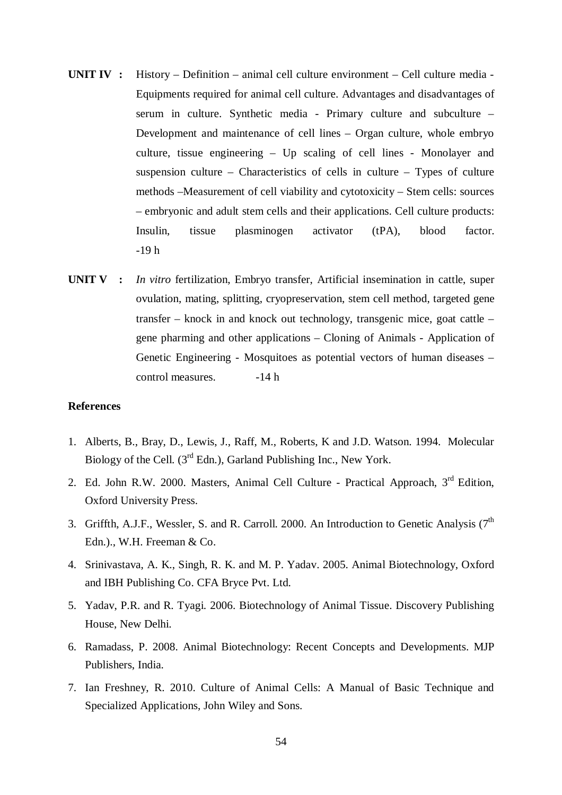- **UNIT IV :** History Definition animal cell culture environment Cell culture media Equipments required for animal cell culture. Advantages and disadvantages of serum in culture. Synthetic media - Primary culture and subculture – Development and maintenance of cell lines – Organ culture, whole embryo culture, tissue engineering – Up scaling of cell lines - Monolayer and suspension culture – Characteristics of cells in culture – Types of culture methods –Measurement of cell viability and cytotoxicity – Stem cells: sources – embryonic and adult stem cells and their applications. Cell culture products: Insulin, tissue plasminogen activator (tPA), blood factor. -19 h
- **UNIT V :** *In vitro* fertilization, Embryo transfer, Artificial insemination in cattle, super ovulation, mating, splitting, cryopreservation, stem cell method, targeted gene transfer – knock in and knock out technology, transgenic mice, goat cattle – gene pharming and other applications – Cloning of Animals - Application of Genetic Engineering - Mosquitoes as potential vectors of human diseases – control measures.  $-14 h$

### **References**

- 1. Alberts, B., Bray, D., Lewis, J., Raff, M., Roberts, K and J.D. Watson. 1994. Molecular Biology of the Cell.  $(3^{rd}$  Edn.), Garland Publishing Inc., New York.
- 2. Ed. John R.W. 2000. Masters, Animal Cell Culture Practical Approach, 3<sup>rd</sup> Edition, Oxford University Press.
- 3. Griffth, A.J.F., Wessler, S. and R. Carroll. 2000. An Introduction to Genetic Analysis ( $7<sup>th</sup>$ Edn.)., W.H. Freeman & Co.
- 4. Srinivastava, A. K., Singh, R. K. and M. P. Yadav. 2005. Animal Biotechnology, Oxford and IBH Publishing Co. CFA Bryce Pvt. Ltd.
- 5. Yadav, P.R. and R. Tyagi. 2006. Biotechnology of Animal Tissue. Discovery Publishing House, New Delhi.
- 6. Ramadass, P. 2008. Animal Biotechnology: Recent Concepts and Developments. MJP Publishers, India.
- 7. Ian Freshney, R. 2010. Culture of Animal Cells: A Manual of Basic Technique and Specialized Applications, John Wiley and Sons.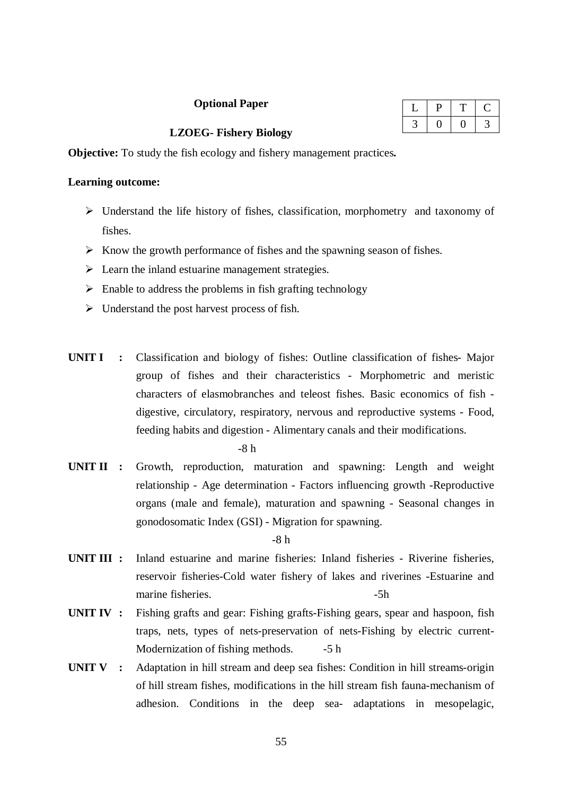## **Optional Paper**

| u |  |
|---|--|
|   |  |

### **LZOEG- Fishery Biology**

**Objective:** To study the fish ecology and fishery management practices**.**

### **Learning outcome:**

- Understand the life history of fishes, classification, morphometry and taxonomy of fishes.
- $\triangleright$  Know the growth performance of fishes and the spawning season of fishes.
- $\triangleright$  Learn the inland estuarine management strategies.
- $\triangleright$  Enable to address the problems in fish grafting technology
- $\triangleright$  Understand the post harvest process of fish.
- **UNIT I :** Classification and biology of fishes: Outline classification of fishes- Major group of fishes and their characteristics - Morphometric and meristic characters of elasmobranches and teleost fishes. Basic economics of fish digestive, circulatory, respiratory, nervous and reproductive systems - Food, feeding habits and digestion - Alimentary canals and their modifications.

-8 h

**UNIT II :** Growth, reproduction, maturation and spawning: Length and weight relationship - Age determination - Factors influencing growth -Reproductive organs (male and female), maturation and spawning - Seasonal changes in gonodosomatic Index (GSI) - Migration for spawning.

-8 h

- **UNIT III :** Inland estuarine and marine fisheries: Inland fisheries Riverine fisheries, reservoir fisheries-Cold water fishery of lakes and riverines -Estuarine and marine fisheries.  $-5h$
- **UNIT IV :** Fishing grafts and gear: Fishing grafts-Fishing gears, spear and haspoon, fish traps, nets, types of nets-preservation of nets-Fishing by electric current-Modernization of fishing methods. -5 h
- **UNIT V :** Adaptation in hill stream and deep sea fishes: Condition in hill streams-origin of hill stream fishes, modifications in the hill stream fish fauna-mechanism of adhesion. Conditions in the deep sea- adaptations in mesopelagic,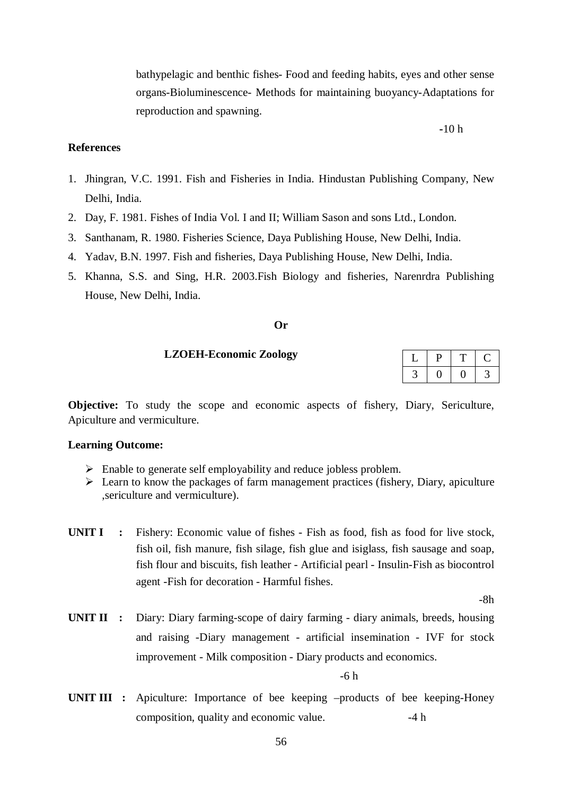bathypelagic and benthic fishes- Food and feeding habits, eyes and other sense organs-Bioluminescence- Methods for maintaining buoyancy-Adaptations for reproduction and spawning.

### **-**10 h

#### **References**

- 1. Jhingran, V.C. 1991. Fish and Fisheries in India. Hindustan Publishing Company, New Delhi, India.
- 2. Day, F. 1981. Fishes of India Vol. I and II; William Sason and sons Ltd., London.
- 3. Santhanam, R. 1980. Fisheries Science, Daya Publishing House, New Delhi, India.
- 4. Yadav, B.N. 1997. Fish and fisheries, Daya Publishing House, New Delhi, India.
- 5. Khanna, S.S. and Sing, H.R. 2003.Fish Biology and fisheries, Narenrdra Publishing House, New Delhi, India.

#### **Or**

#### **LZOEH-Economic Zoology**

**Objective:** To study the scope and economic aspects of fishery, Diary, Sericulture, Apiculture and vermiculture.

#### **Learning Outcome:**

- Enable to generate self employability and reduce jobless problem.
- $\triangleright$  Learn to know the packages of farm management practices (fishery, Diary, apiculture ,sericulture and vermiculture).
- **UNIT I** : Fishery: Economic value of fishes Fish as food, fish as food for live stock, fish oil, fish manure, fish silage, fish glue and isiglass, fish sausage and soap, fish flour and biscuits, fish leather - Artificial pearl - Insulin-Fish as biocontrol agent -Fish for decoration - Harmful fishes.

-8h

**UNIT II :** Diary: Diary farming-scope of dairy farming - diary animals, breeds, housing and raising -Diary management - artificial insemination - IVF for stock improvement - Milk composition - Diary products and economics.

-6 h

**UNIT III :** Apiculture: Importance of bee keeping –products of bee keeping-Honey composition, quality and economic value.  $-4 h$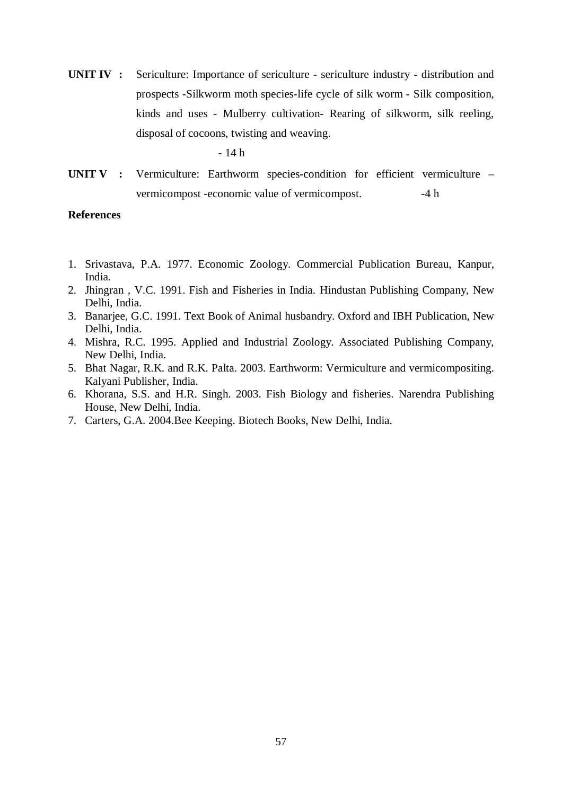**UNIT IV :** Sericulture: Importance of sericulture - sericulture industry - distribution and prospects -Silkworm moth species-life cycle of silk worm - Silk composition, kinds and uses - Mulberry cultivation- Rearing of silkworm, silk reeling, disposal of cocoons, twisting and weaving.

- 14 h

**UNIT V :** Vermiculture: Earthworm species-condition for efficient vermiculture – vermicompost -economic value of vermicompost.  $-4 h$ 

#### **References**

- 1. Srivastava, P.A. 1977. Economic Zoology. Commercial Publication Bureau, Kanpur, India.
- 2. Jhingran , V.C. 1991. Fish and Fisheries in India. Hindustan Publishing Company, New Delhi, India.
- 3. Banarjee, G.C. 1991. Text Book of Animal husbandry. Oxford and IBH Publication, New Delhi, India.
- 4. Mishra, R.C. 1995. Applied and Industrial Zoology. Associated Publishing Company, New Delhi, India.
- 5. Bhat Nagar, R.K. and R.K. Palta. 2003. Earthworm: Vermiculture and vermicompositing. Kalyani Publisher, India.
- 6. Khorana, S.S. and H.R. Singh. 2003. Fish Biology and fisheries. Narendra Publishing House, New Delhi, India.
- 7. Carters, G.A. 2004.Bee Keeping. Biotech Books, New Delhi, India.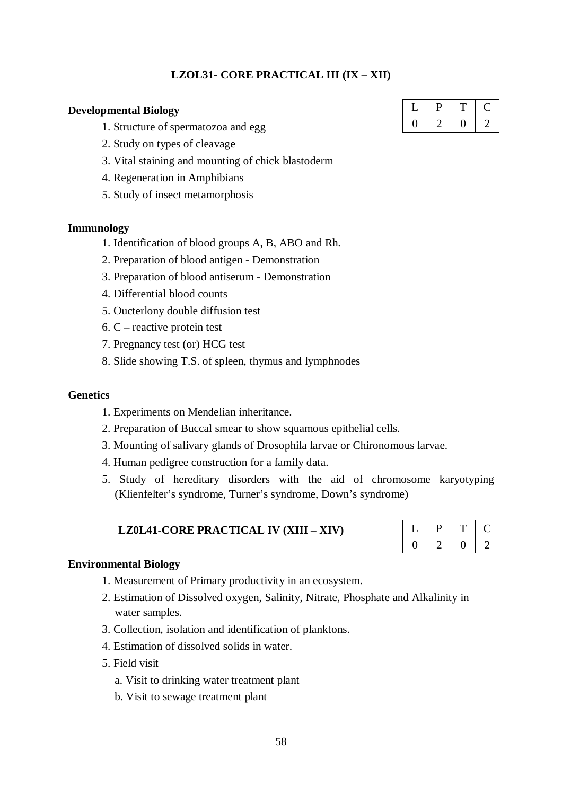## **LZOL31- CORE PRACTICAL III (IX – XII)**

## **Developmental Biology**

- 1. Structure of spermatozoa and egg
- 2. Study on types of cleavage
- 3. Vital staining and mounting of chick blastoderm
- 4. Regeneration in Amphibians
- 5. Study of insect metamorphosis

### **Immunology**

- 1. Identification of blood groups A, B, ABO and Rh.
- 2. Preparation of blood antigen Demonstration
- 3. Preparation of blood antiserum Demonstration
- 4. Differential blood counts
- 5. Oucterlony double diffusion test
- 6. C reactive protein test
- 7. Pregnancy test (or) HCG test
- 8. Slide showing T.S. of spleen, thymus and lymphnodes

#### **Genetics**

- 1. Experiments on Mendelian inheritance.
- 2. Preparation of Buccal smear to show squamous epithelial cells.
- 3. Mounting of salivary glands of Drosophila larvae or Chironomous larvae.
- 4. Human pedigree construction for a family data.
- 5. Study of hereditary disorders with the aid of chromosome karyotyping (Klienfelter's syndrome, Turner's syndrome, Down's syndrome)

## **LZ0L41-CORE PRACTICAL IV (XIII – XIV)**

### **Environmental Biology**

- 1. Measurement of Primary productivity in an ecosystem.
- 2. Estimation of Dissolved oxygen, Salinity, Nitrate, Phosphate and Alkalinity in water samples.
- 3. Collection, isolation and identification of planktons.
- 4. Estimation of dissolved solids in water.
- 5. Field visit
	- a. Visit to drinking water treatment plant
	- b. Visit to sewage treatment plant